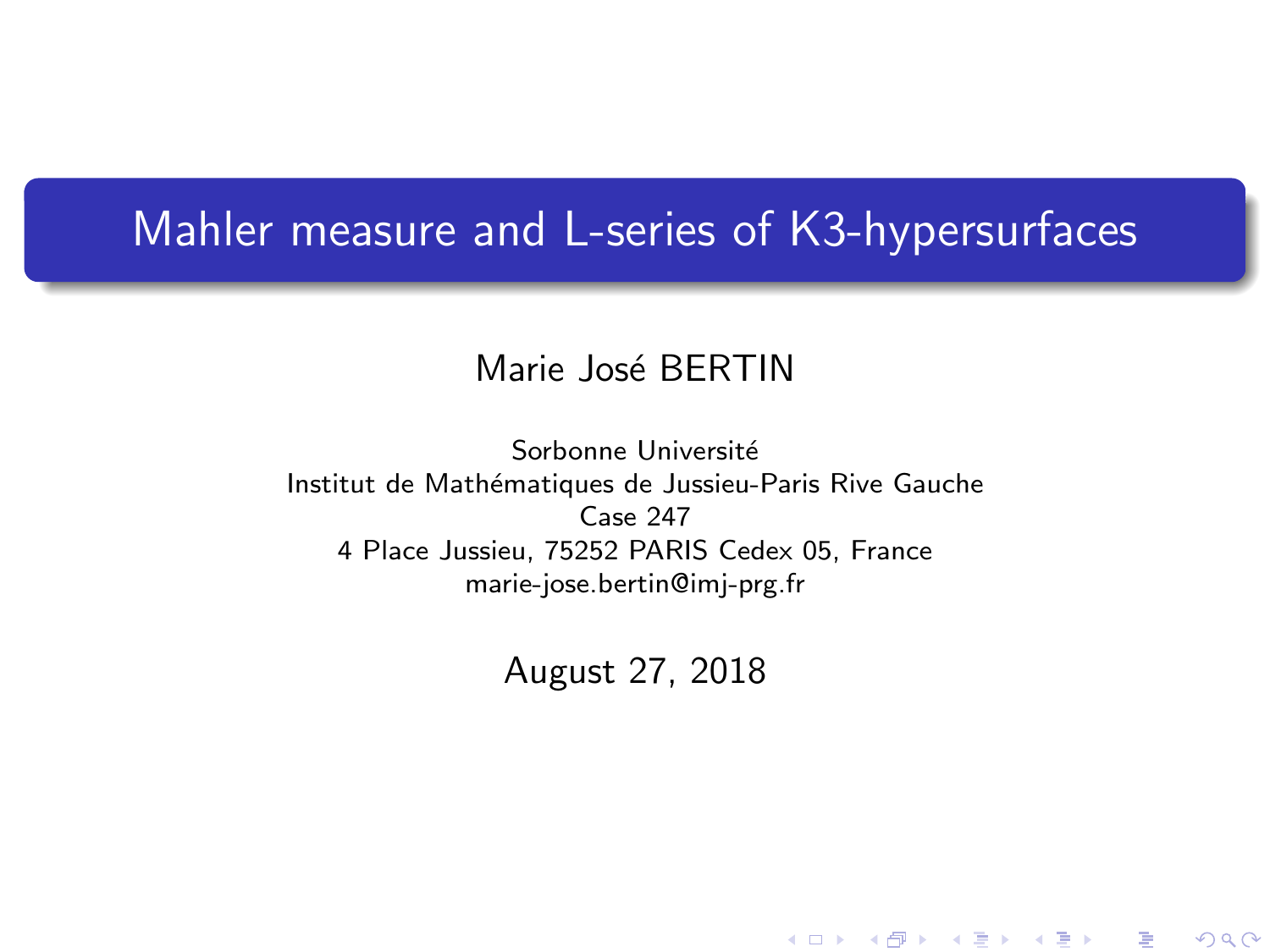## Mahler measure and L-series of K3-hypersurfaces

### Marie José BERTIN

Sorbonne Université Institut de Mathématiques de Jussieu-Paris Rive Gauche Case 247 4 Place Jussieu, 75252 PARIS Cedex 05, France marie-jose.bertin@imj-prg.fr

<span id="page-0-0"></span>August 27, 2018

★ ロ ▶ → 御 ▶ → 결 ▶ → 결 ▶ │ 결

 $2Q$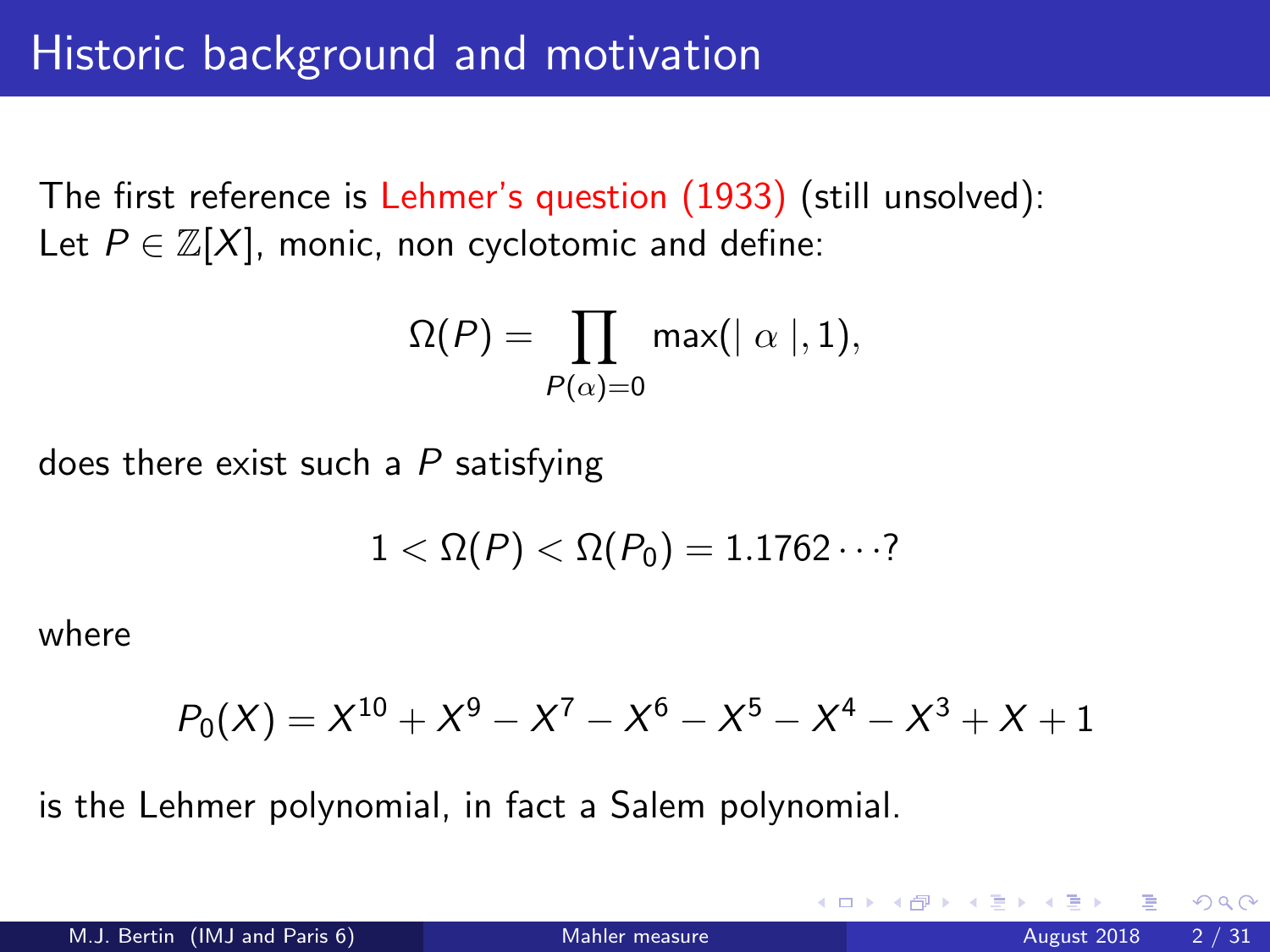The first reference is Lehmer's question (1933) (still unsolved): Let  $P \in \mathbb{Z}[X]$ , monic, non cyclotomic and define:

$$
\Omega(P) = \prod_{P(\alpha) = 0} \max(|\alpha|, 1),
$$

does there exist such a  $P$  satisfying

$$
1<\Omega(P)<\Omega(P_0)=1.1762\cdots?
$$

where

$$
P_0(X) = X^{10} + X^9 - X^7 - X^6 - X^5 - X^4 - X^3 + X + 1
$$

is the Lehmer polynomial, in fact a Salem polynomial.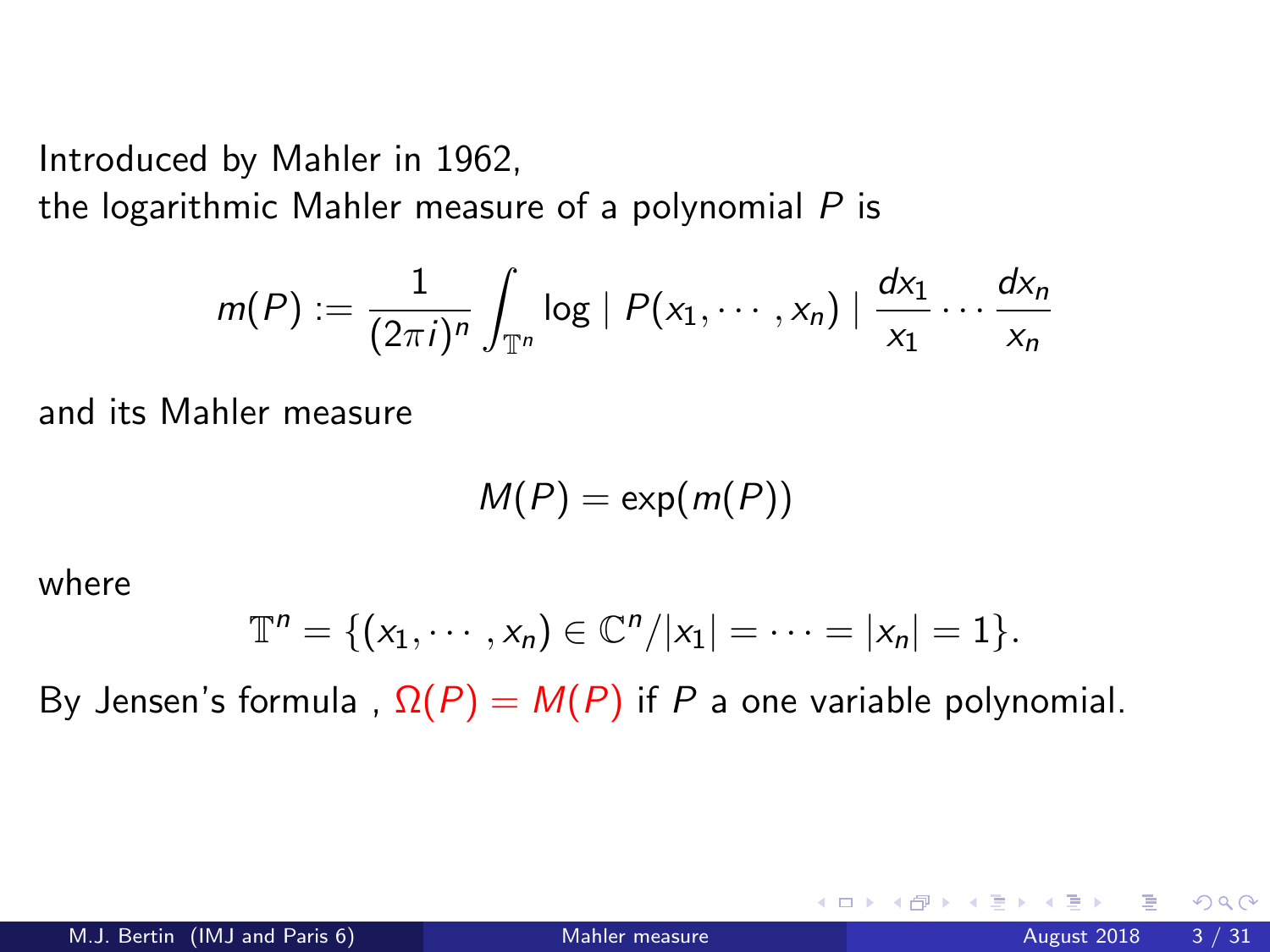Introduced by Mahler in 1962,

the logarithmic Mahler measure of a polynomial  $P$  is

$$
m(P) := \frac{1}{(2\pi i)^n} \int_{\mathbb{T}^n} \log |P(x_1,\dots,x_n)| \frac{dx_1}{x_1} \dots \frac{dx_n}{x_n}
$$

and its Mahler measure

$$
M(P)=\exp(m(P))
$$

where

$$
\mathbb{T}^n = \{ (x_1, \cdots, x_n) \in \mathbb{C}^n / |x_1| = \cdots = |x_n| = 1 \}.
$$

By Jensen's formula,  $\Omega(P) = M(P)$  if P a one variable polynomial.

4 0 8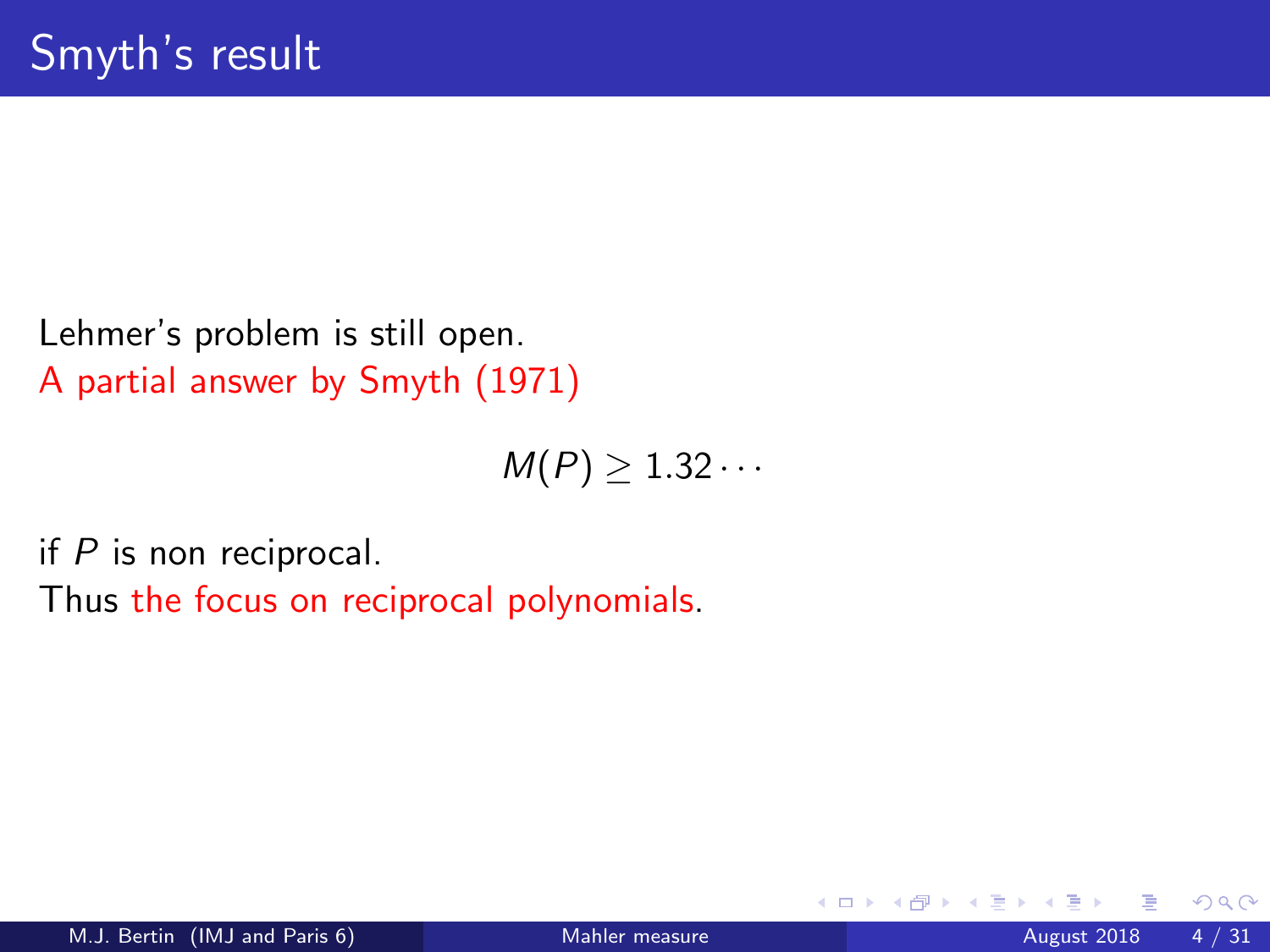Lehmer's problem is still open. A partial answer by Smyth (1971)

 $M(P) \geq 1.32 \cdots$ 

if  $P$  is non reciprocal.

Thus the focus on reciprocal polynomials.

4 0 8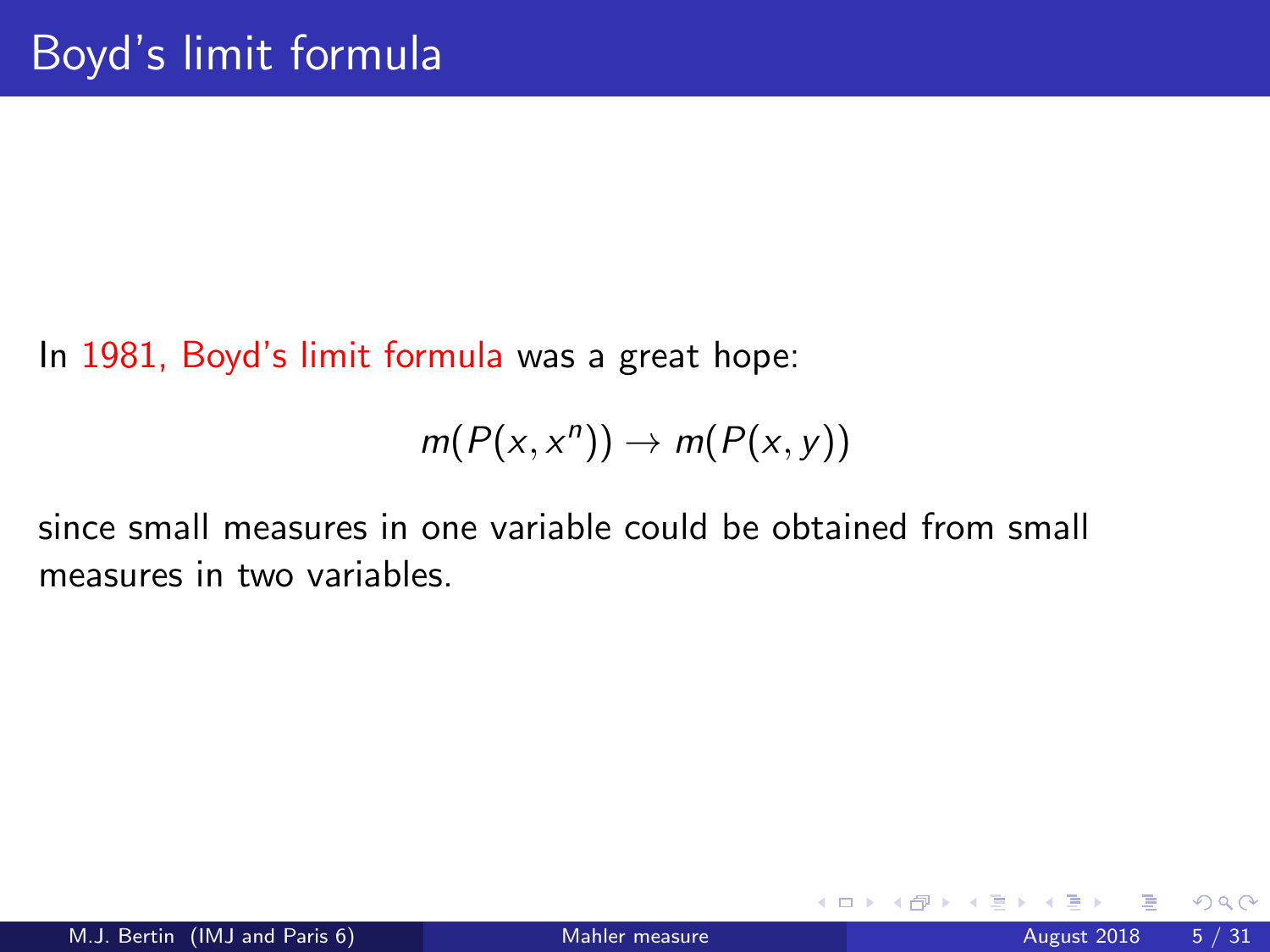In 1981, Boyd's limit formula was a great hope:

$$
m(P(x,x^n))\to m(P(x,y))
$$

since small measures in one variable could be obtained from small measures in two variables.

4 0 8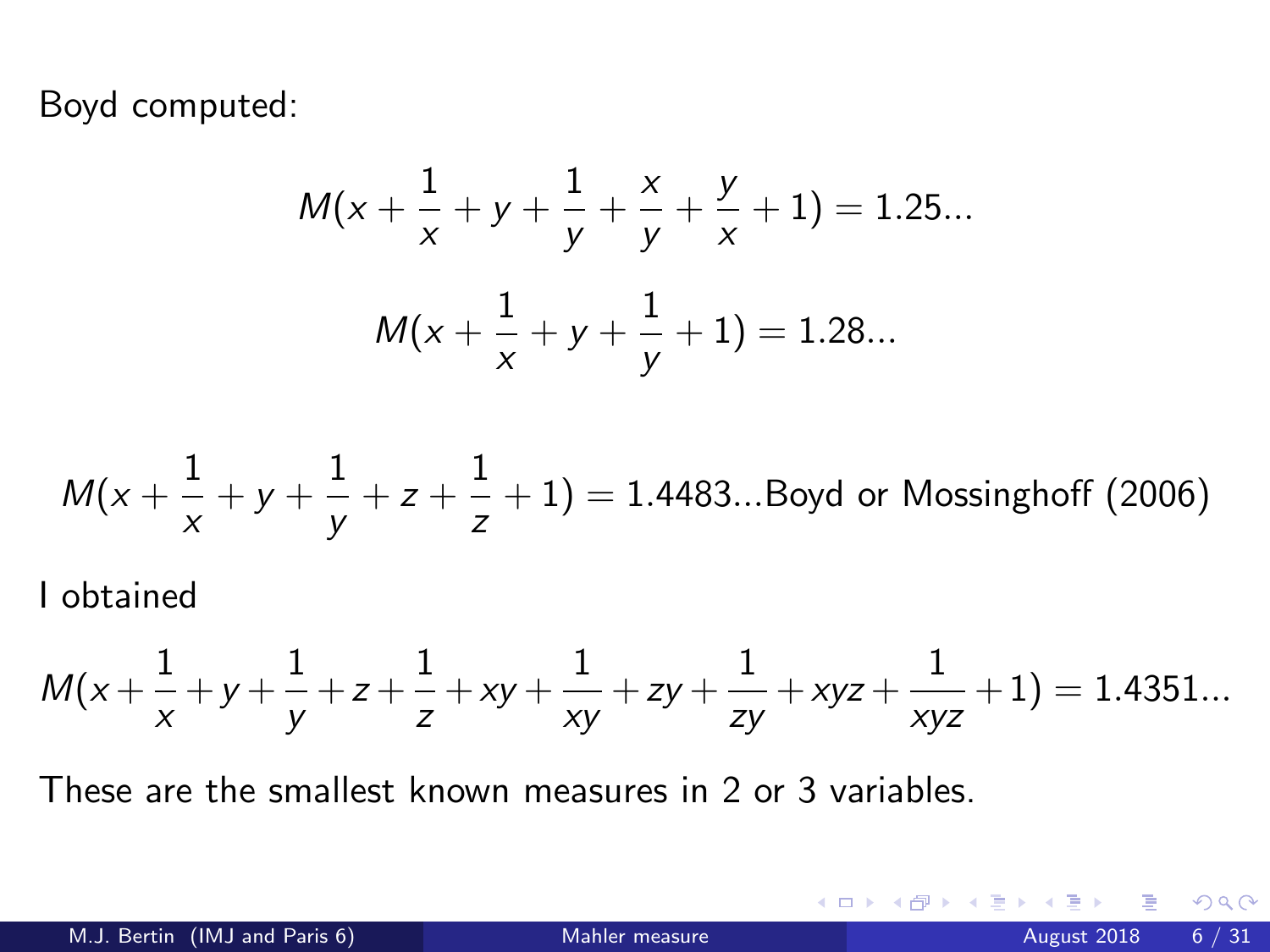Boyd computed:

$$
M(x + \frac{1}{x} + y + \frac{1}{y} + \frac{x}{y} + \frac{y}{x} + 1) = 1.25...
$$
  

$$
M(x + \frac{1}{x} + y + \frac{1}{y} + 1) = 1.28...
$$

$$
M(x + \frac{1}{x} + y + \frac{1}{y} + z + \frac{1}{z} + 1) = 1.4483... \text{Boyd or Mossinghoff (2006)}
$$

I obtained

$$
M(x+\frac{1}{x}+y+\frac{1}{y}+z+\frac{1}{z}+xy+\frac{1}{xy}+zy+\frac{1}{zy}+xyz+\frac{1}{xyz}+1)=1.4351...
$$

These are the smallest known measures in 2 or 3 variables.

**4 ロト 4 何 ト** 

- 41 - 11  $\rightarrow$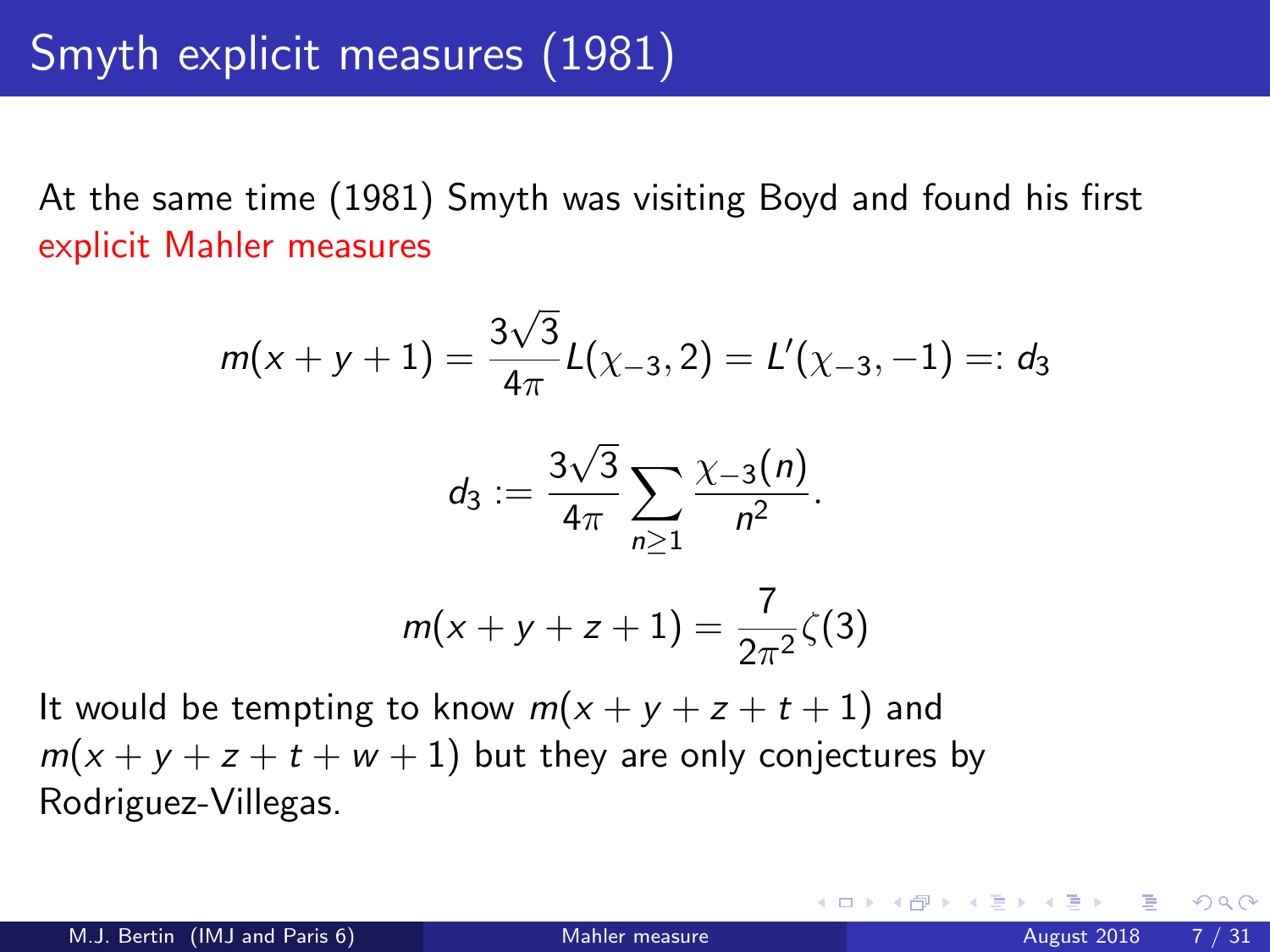At the same time (1981) Smyth was visiting Boyd and found his first explicit Mahler measures

$$
m(x + y + 1) = \frac{3\sqrt{3}}{4\pi}L(\chi_{-3}, 2) = L'(\chi_{-3}, -1) =: d_3
$$

$$
d_3 := \frac{3\sqrt{3}}{4\pi} \sum_{n \ge 1} \frac{\chi_{-3}(n)}{n^2}.
$$

$$
m(x + y + z + 1) = \frac{7}{2\pi^2}\zeta(3)
$$

It would be tempting to know  $m(x + y + z + t + 1)$  and  $m(x + y + z + t + w + 1)$  but they are only conjectures by Rodriguez-Villegas.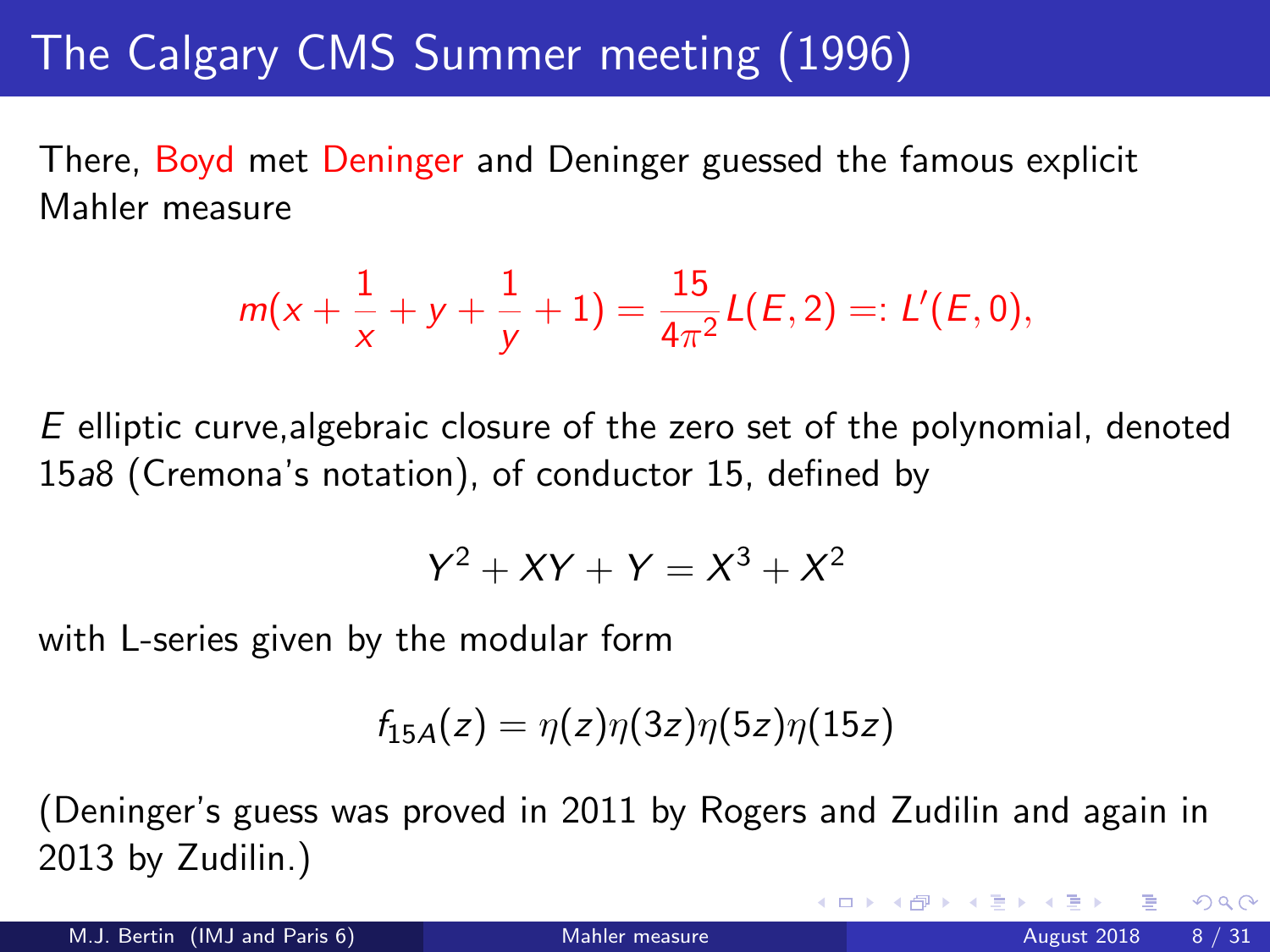# The Calgary CMS Summer meeting (1996)

There, Boyd met Deninger and Deninger guessed the famous explicit Mahler measure

$$
m(x+\frac{1}{x}+y+\frac{1}{y}+1)=\frac{15}{4\pi^2}L(E,2)=:L'(E,0),
$$

 $E$  elliptic curve, algebraic closure of the zero set of the polynomial, denoted 15a8 (Cremona's notation), of conductor 15, defined by

$$
Y^2 + XY + Y = X^3 + X^2
$$

with L-series given by the modular form

$$
f_{15A}(z)=\eta(z)\eta(3z)\eta(5z)\eta(15z)
$$

(Deninger's guess was proved in 2011 by Rogers and Zudilin and again in 2013 by Zudilin.)

M.J. Bertin (IMJ and Paris 6) [Mahler measure](#page-0-0) August 2018 8 / 31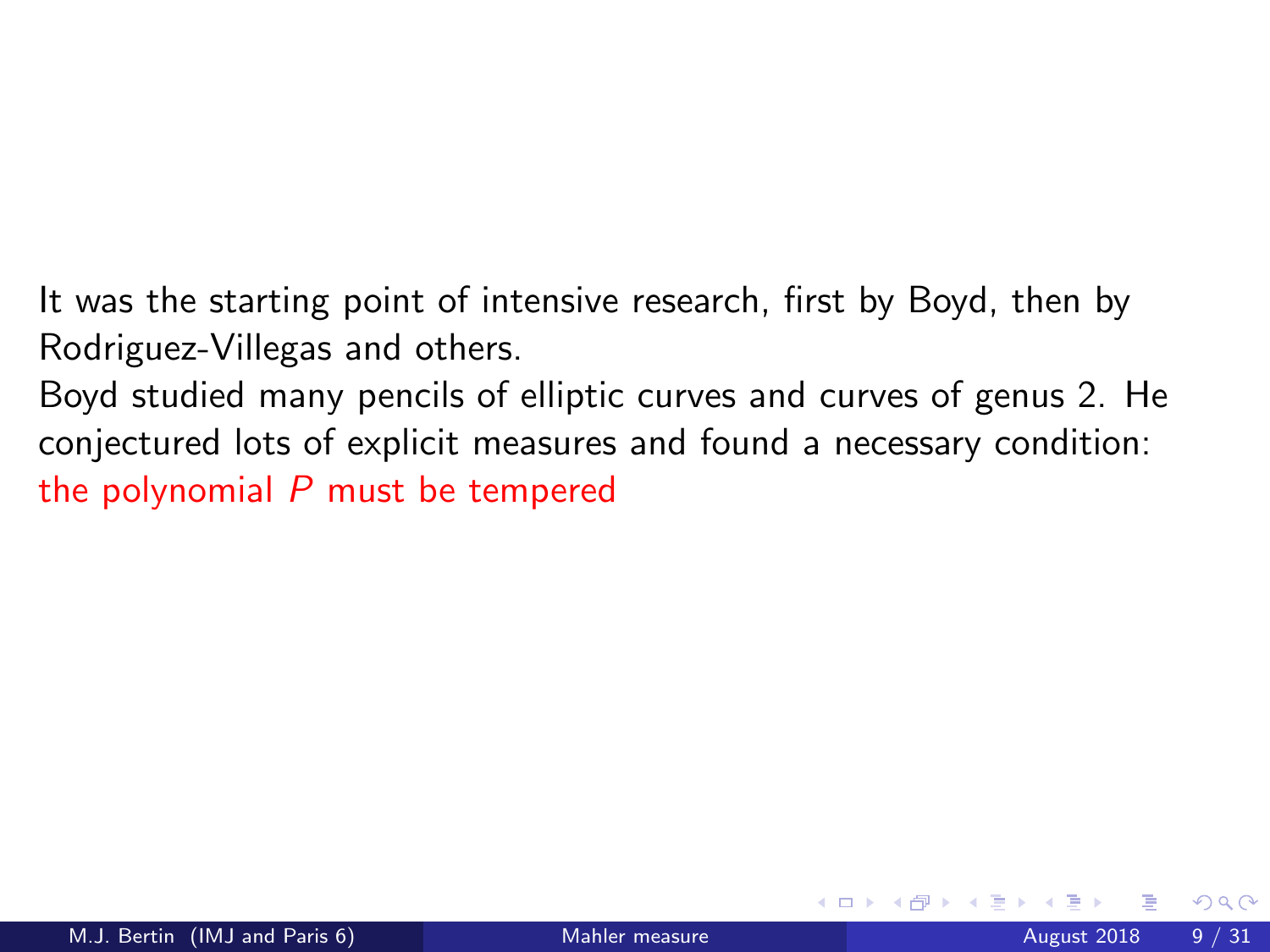It was the starting point of intensive research, first by Boyd, then by Rodriguez-Villegas and others.

Boyd studied many pencils of elliptic curves and curves of genus 2. He conjectured lots of explicit measures and found a necessary condition: the polynomial  *must be tempered*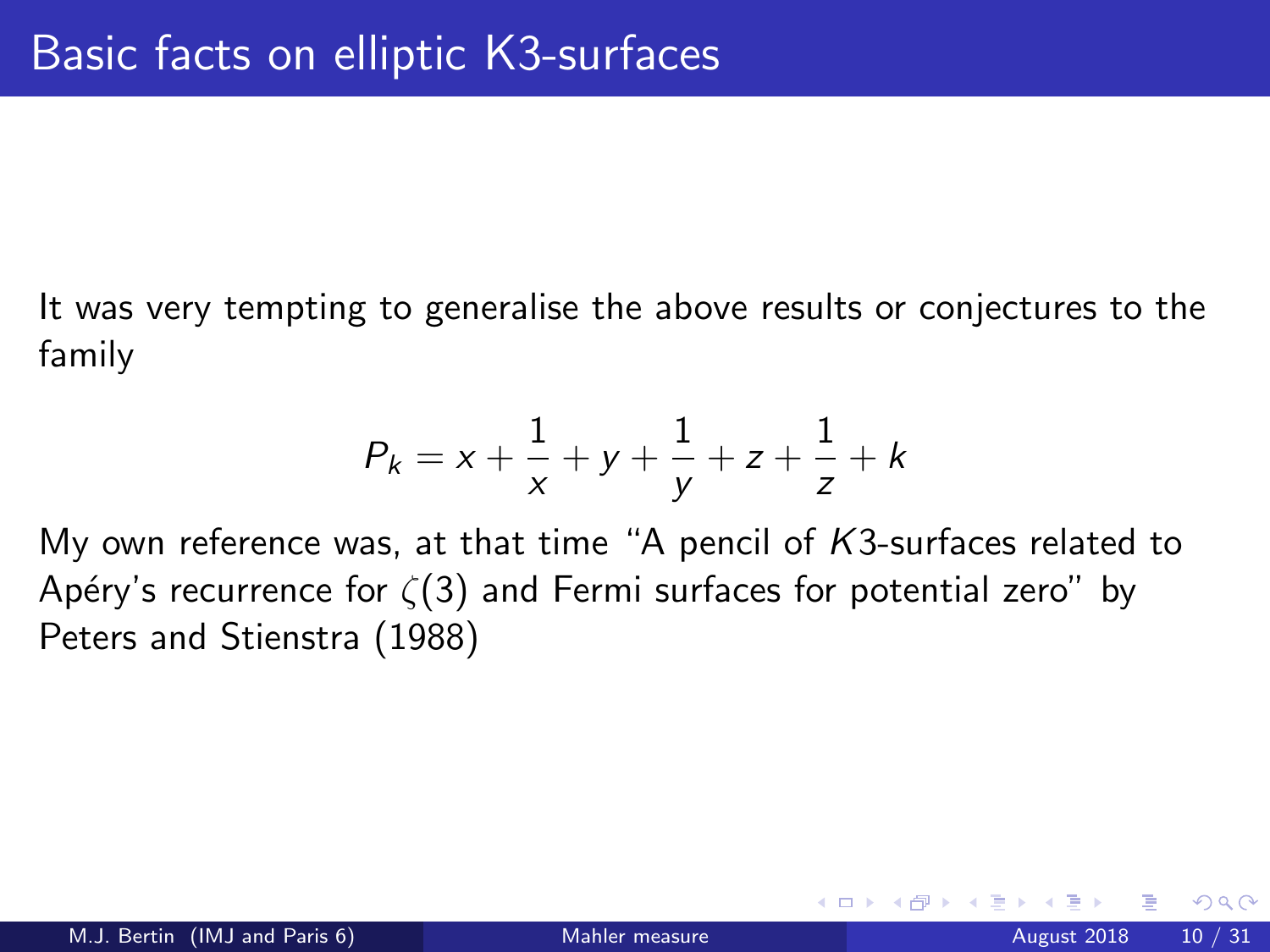It was very tempting to generalise the above results or conjectures to the family

$$
P_k = x + \frac{1}{x} + y + \frac{1}{y} + z + \frac{1}{z} + k
$$

My own reference was, at that time "A pencil of  $K3$ -surfaces related to Apéry's recurrence for  $\zeta(3)$  and Fermi surfaces for potential zero" by Peters and Stienstra (1988)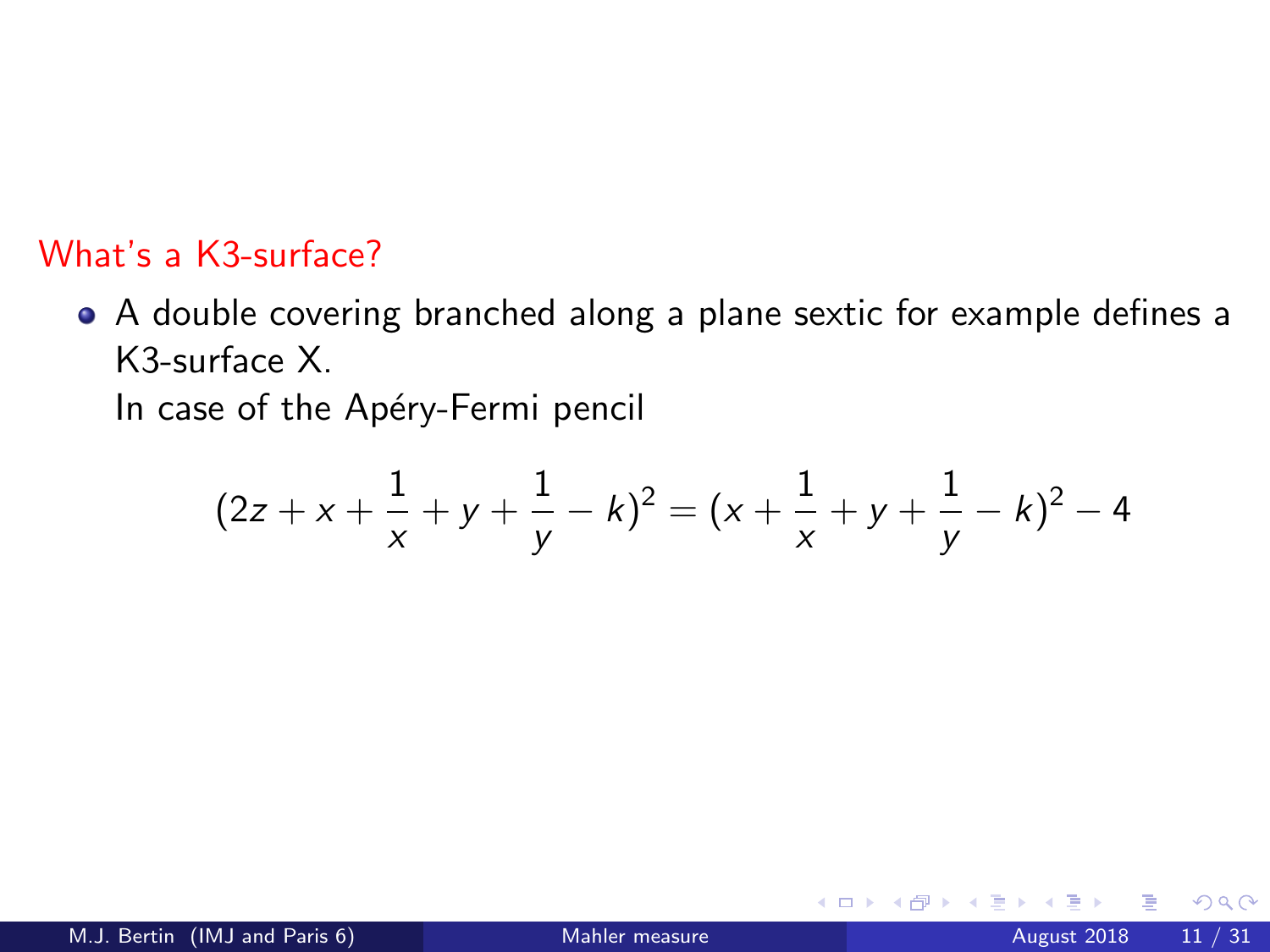#### What's a K3-surface?

A double covering branched along a plane sextic for example defines a K3-surface X.

In case of the Apéry-Fermi pencil

$$
(2z + x + \frac{1}{x} + y + \frac{1}{y} - k)^2 = (x + \frac{1}{x} + y + \frac{1}{y} - k)^2 - 4
$$

4 0 8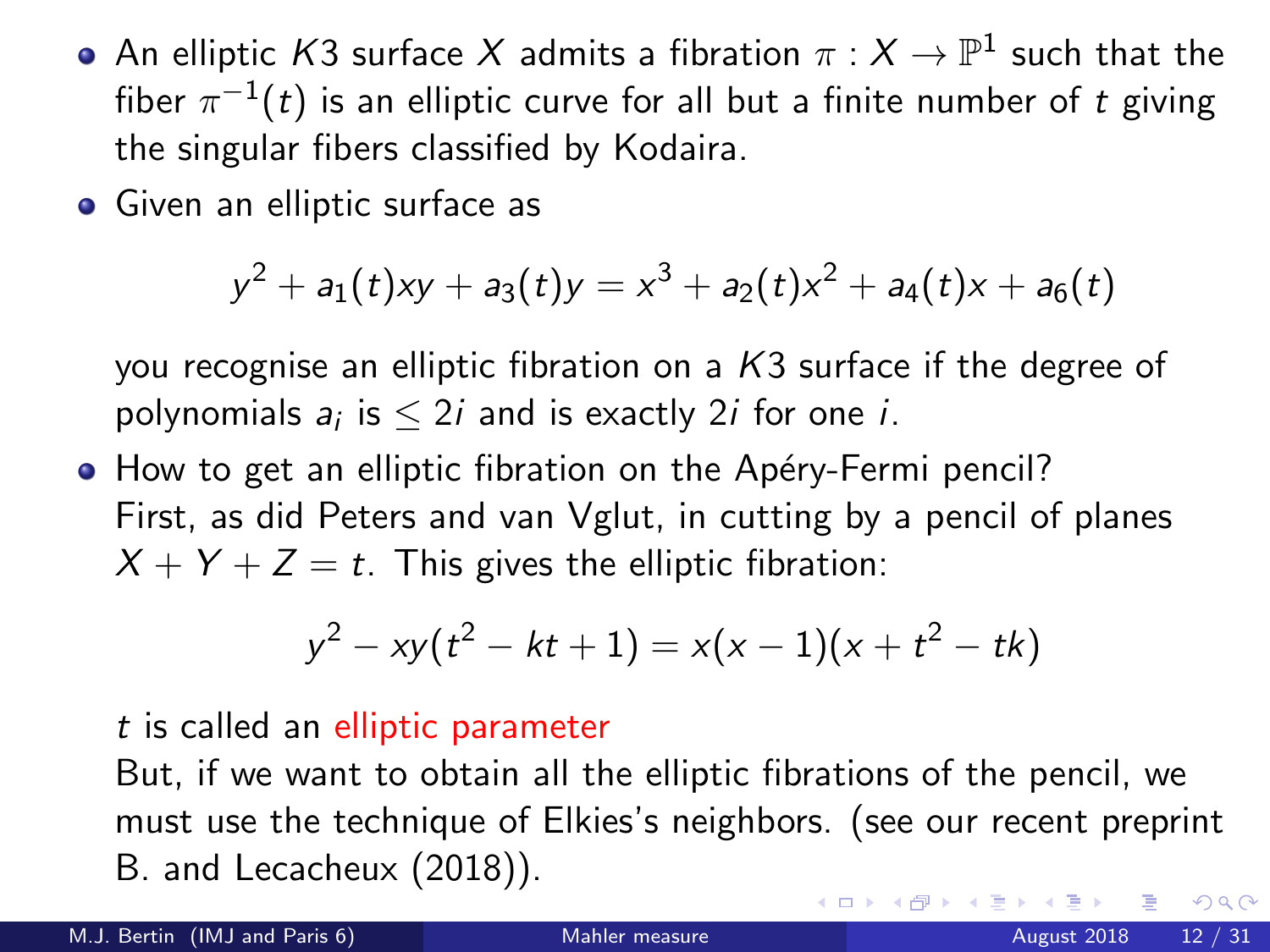- An elliptic  $\mathcal{K}3$  surface  $X$  admits a fibration  $\pi:X\to\mathbb{P}^1$  such that the fiber  $\pi^{-1}(t)$  is an elliptic curve for all but a finite number of  $t$  giving the singular fibers classified by Kodaira.
- Given an elliptic surface as

$$
y^2 + a_1(t)xy + a_3(t)y = x^3 + a_2(t)x^2 + a_4(t)x + a_6(t)
$$

you recognise an elliptic fibration on a K3 surface if the degree of polynomials  $a_i$  is  $\leq 2i$  and is exactly 2*i* for one *i*.

• How to get an elliptic fibration on the Apéry-Fermi pencil? First, as did Peters and van Vglut, in cutting by a pencil of planes  $X + Y + Z = t$ . This gives the elliptic fibration:

$$
y^2 - xy(t^2 - kt + 1) = x(x - 1)(x + t^2 - tk)
$$

t is called an elliptic parameter

But, if we want to obtain all the elliptic fibrations of the pencil, we must use the technique of Elkies's neighbors. (see our recent preprint B. and Lecacheux (2018)).  $\Omega$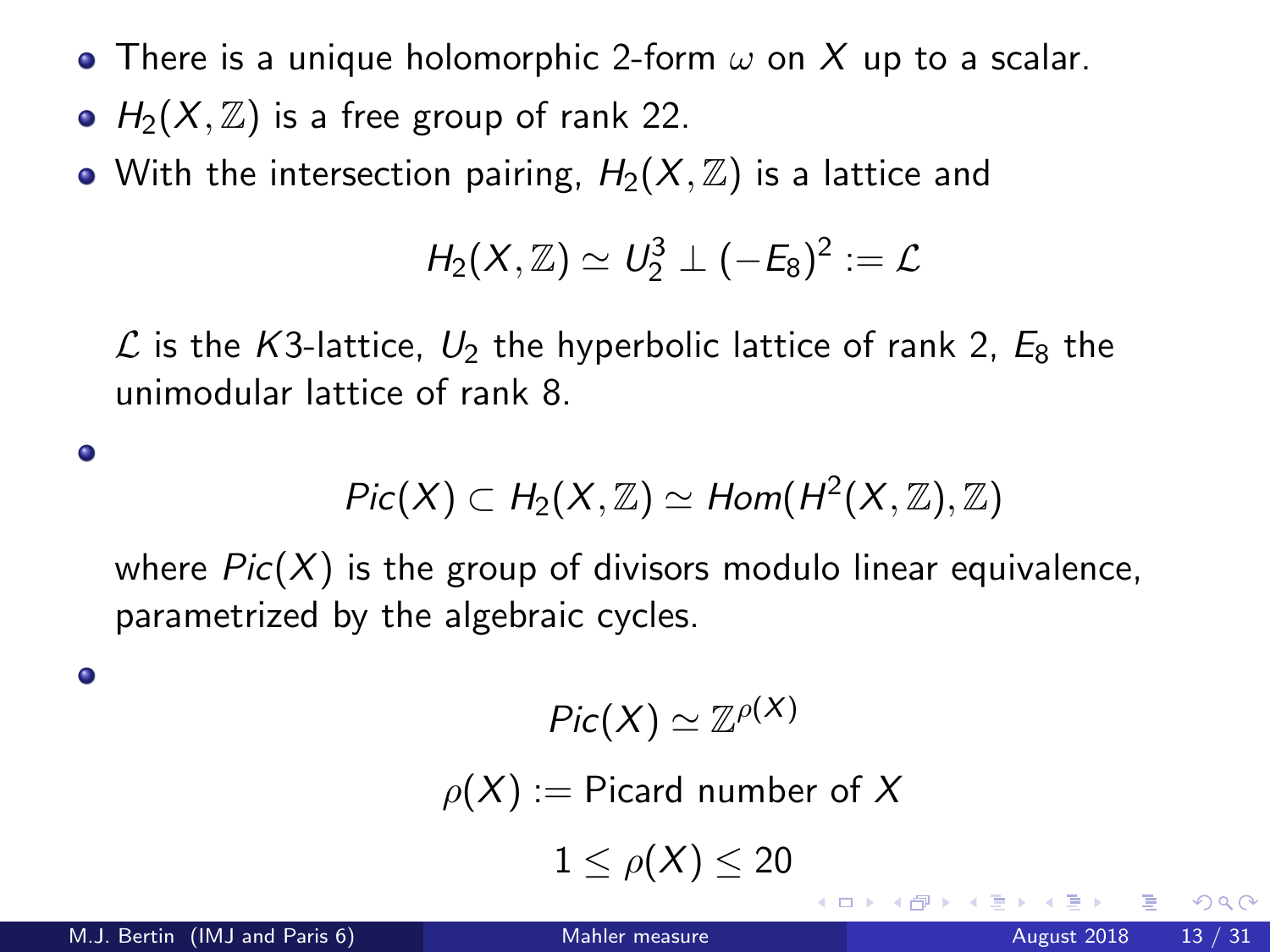- There is a unique holomorphic 2-form  $\omega$  on X up to a scalar.
- $H_2(X, \mathbb{Z})$  is a free group of rank 22.
- With the intersection pairing,  $H_2(X, \mathbb{Z})$  is a lattice and

$$
H_2(X,\mathbb{Z})\simeq U_2^3\perp (-E_8)^2:=\mathcal{L}
$$

 $\mathcal L$  is the K3-lattice,  $U_2$  the hyperbolic lattice of rank 2,  $E_8$  the unimodular lattice of rank 8.

$$
Pic(X) \subset H_2(X,\mathbb{Z}) \simeq Hom(H^2(X,\mathbb{Z}),\mathbb{Z})
$$

where  $Pic(X)$  is the group of divisors modulo linear equivalence, parametrized by the algebraic cycles.

۰

 $\bullet$ 

$$
Pic(X)\simeq \mathbb{Z}^{\rho(X)}
$$

 $\rho(X) :=$  Picard number of X

 $1 < \rho(X) < 20$ 

4 日下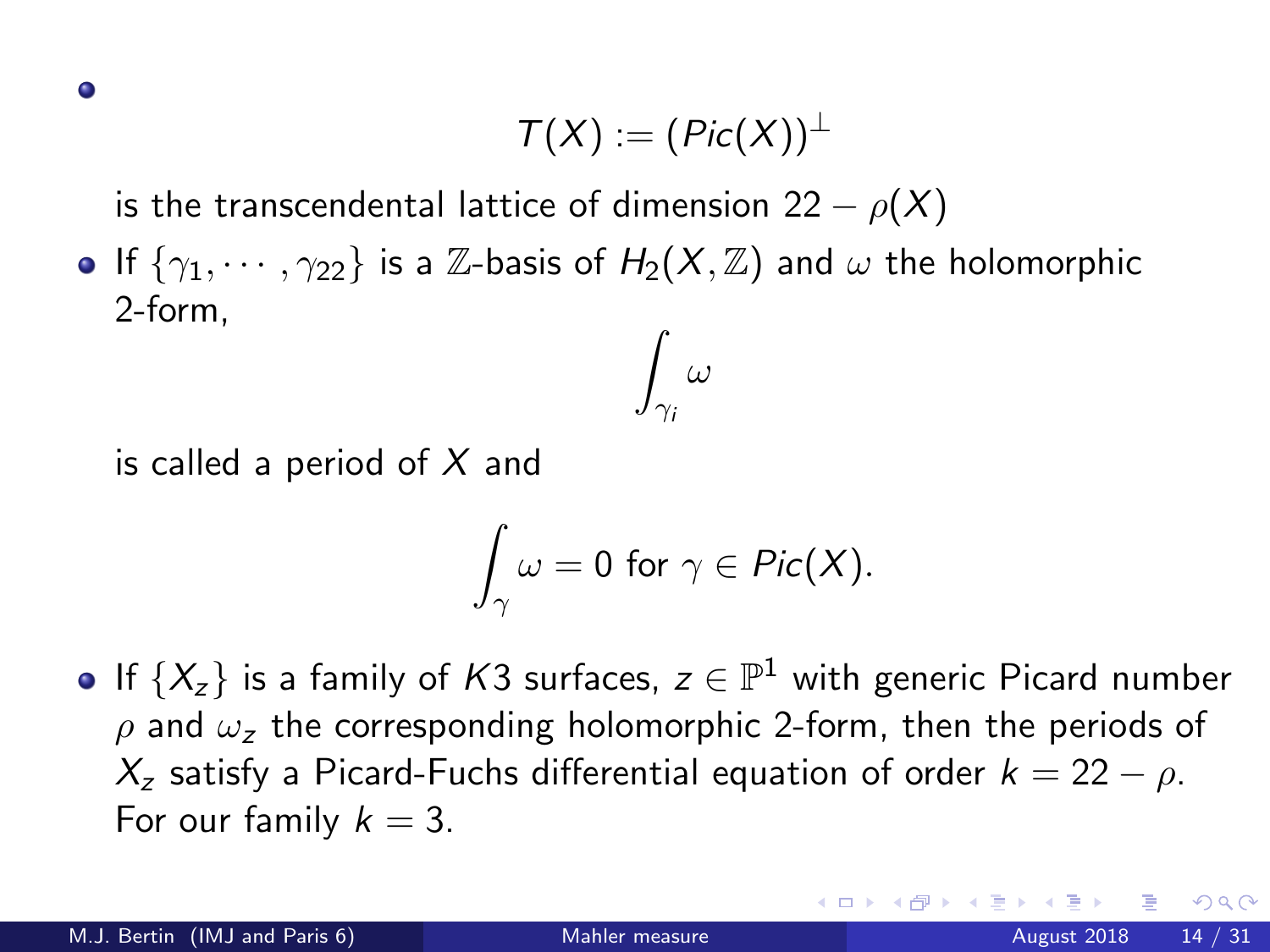$$
\mathcal{T}(X):=(\mathit{Pic}(X))^{\perp}
$$

is the transcendental lattice of dimension 22  $\rho(X)$ 

If  $\{\gamma_1, \cdots, \gamma_{22}\}$  is a Z-basis of  $H_2(X, \mathbb{Z})$  and  $\omega$  the holomorphic 2-form,  $\int \omega$ 

is called a period of  $X$  and

$$
\int_{\gamma}\omega=0\,\,\text{for}\,\,\gamma\in\mathit{Pic}(X).
$$

 $\gamma_i$ 

If  $\{X_z\}$  is a family of  $K3$  surfaces,  $z\in\mathbb{P}^1$  with generic Picard number  $ρ$  and  $ω<sub>z</sub>$  the corresponding holomorphic 2-form, then the periods of  $X_z$  satisfy a Picard-Fuchs differential equation of order  $k = 22 - \rho$ . For our family  $k = 3$ .

つへへ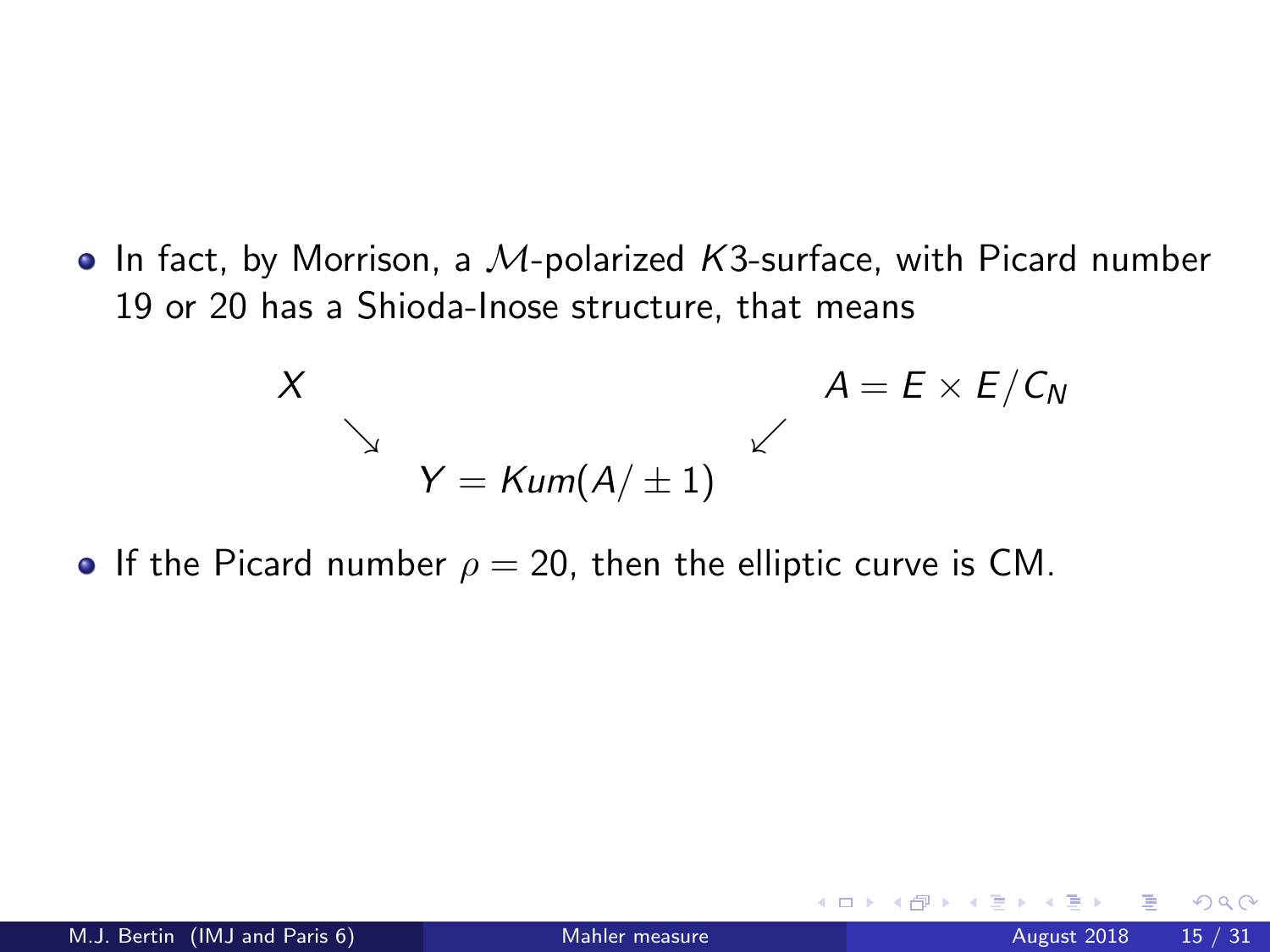$\bullet$  In fact, by Morrison, a M-polarized K3-surface, with Picard number 19 or 20 has a Shioda-Inose structure, that means

$$
X
$$
\n
$$
A = E \times E / C_N
$$
\n
$$
Y = \text{Kum}(A / \pm 1)
$$
\n
$$
A = E \times E / C_N
$$

If the Picard number  $\rho = 20$ , then the elliptic curve is CM.

<span id="page-14-0"></span>4 日下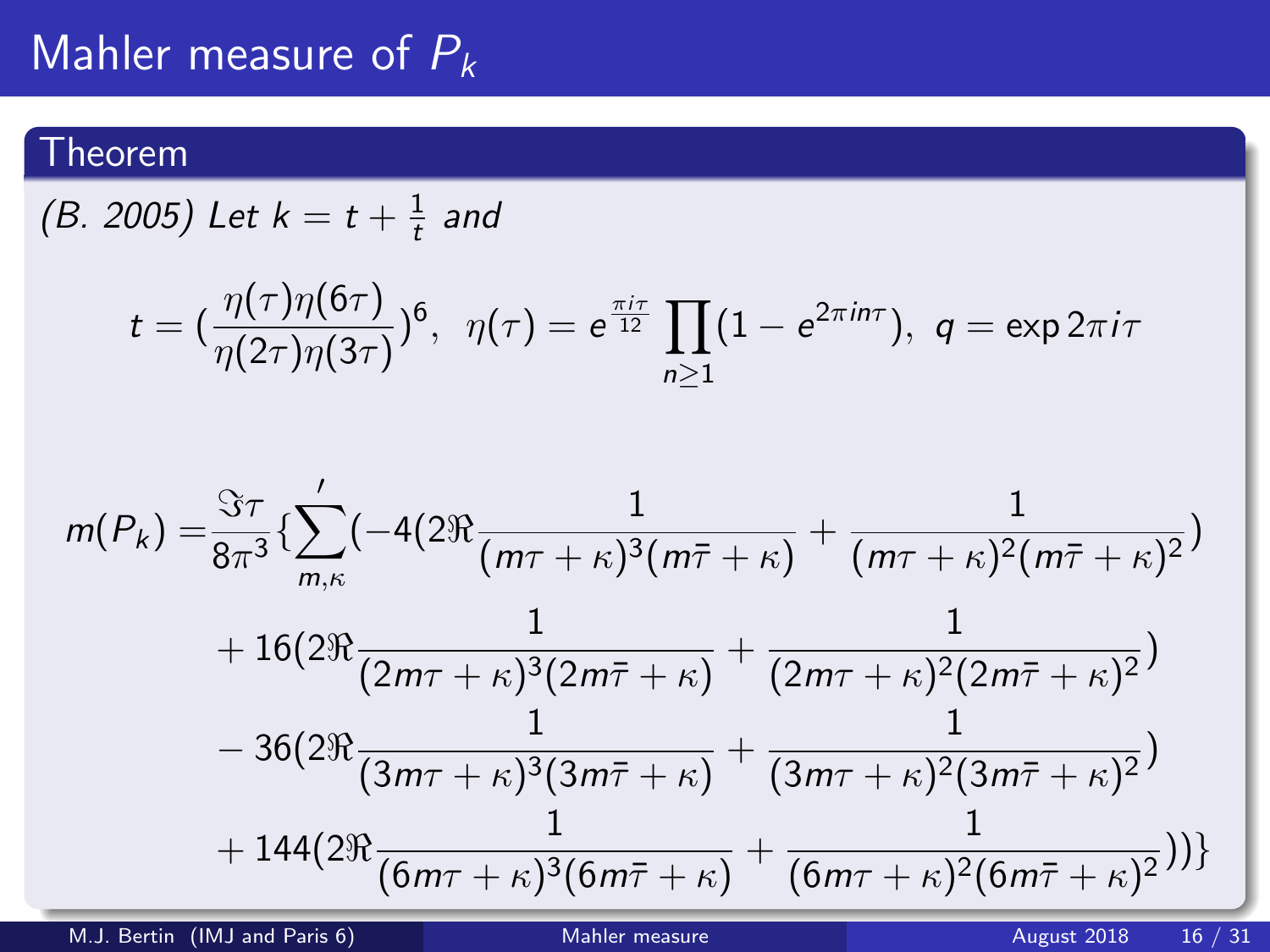## Mahler measure of  $P_k$

### Theorem

(B. 2005) Let  $k = t + \frac{1}{t}$  $\frac{1}{t}$  and

$$
t = (\frac{\eta(\tau)\eta(6\tau)}{\eta(2\tau)\eta(3\tau)})^6, \ \ \eta(\tau) = e^{\frac{\pi i \tau}{12}} \prod_{n \geq 1} (1 - e^{2\pi i n \tau}), \ \ q = \exp 2\pi i \tau
$$

$$
m(P_k) = \frac{\Im \tau}{8\pi^3} \left\{ \sum_{m,\kappa}^{\prime} \left( -4(2\Re \frac{1}{(m\tau + \kappa)^3 (m\bar{\tau} + \kappa)} + \frac{1}{(m\tau + \kappa)^2 (m\bar{\tau} + \kappa)^2} \right) \right. \\ \left. + 16(2\Re \frac{1}{(2m\tau + \kappa)^3 (2m\bar{\tau} + \kappa)} + \frac{1}{(2m\tau + \kappa)^2 (2m\bar{\tau} + \kappa)^2} \right) \\ \left. - 36(2\Re \frac{1}{(3m\tau + \kappa)^3 (3m\bar{\tau} + \kappa)} + \frac{1}{(3m\tau + \kappa)^2 (3m\bar{\tau} + \kappa)^2} \right) \\ \left. + 144(2\Re \frac{1}{(6m\tau + \kappa)^3 (6m\bar{\tau} + \kappa)} + \frac{1}{(6m\tau + \kappa)^2 (6m\bar{\tau} + \kappa)^2} \right) \right\}
$$

<span id="page-15-0"></span>M.J. Bertin (IMJ and Paris 6) [Mahler measure](#page-0-0) August 2018 16 / 31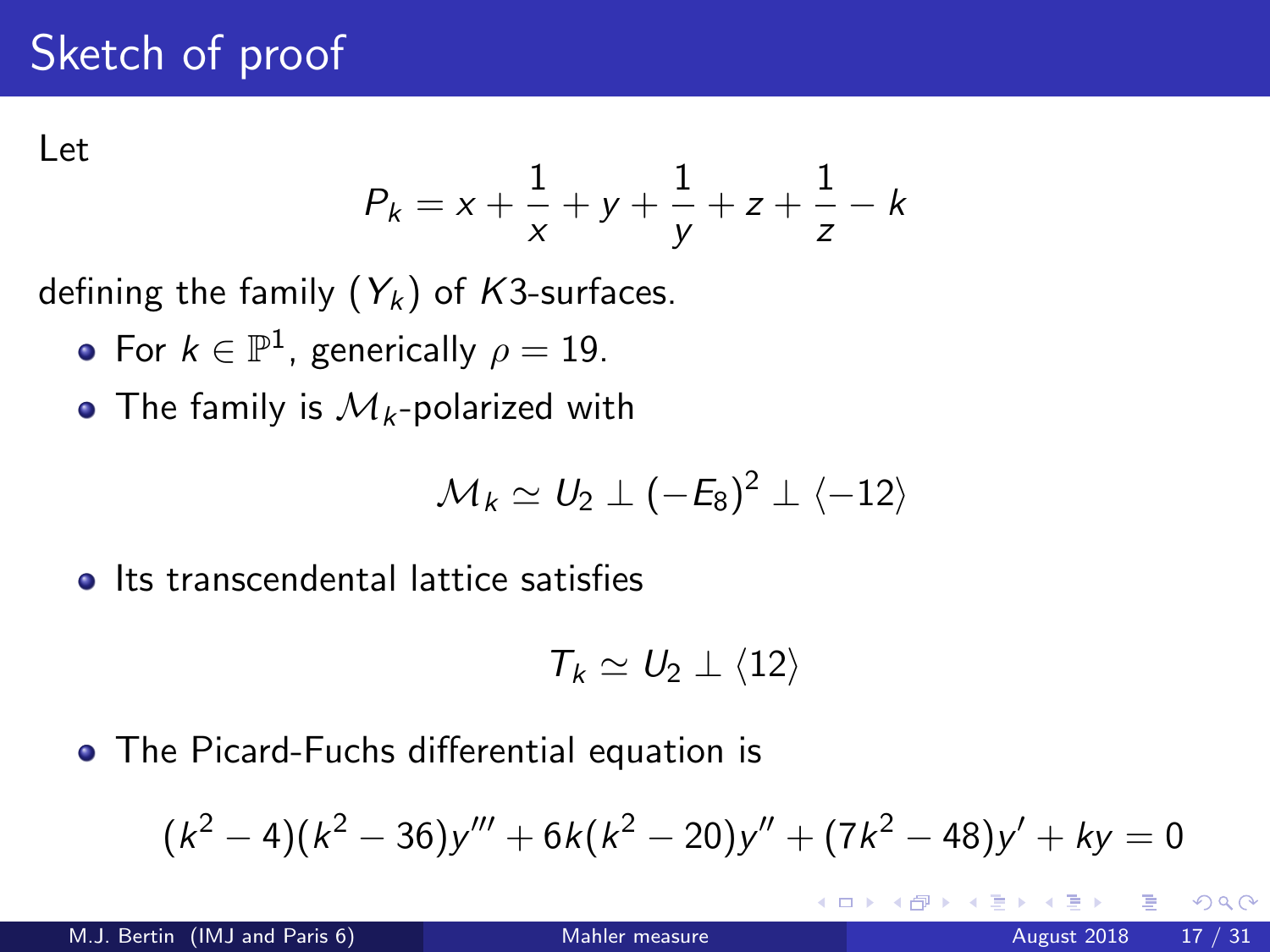# Sketch of proof

Let

$$
P_k = x + \frac{1}{x} + y + \frac{1}{y} + z + \frac{1}{z} - k
$$

defining the family  $(Y_k)$  of K3-surfaces.

- For  $k\in \mathbb{P}^1$ , generically  $\rho=19.$
- The family is  $\mathcal{M}_k$ -polarized with

$$
\mathcal{M}_k \simeq U_2 \perp (-E_8)^2 \perp \langle -12 \rangle
$$

**o** Its transcendental lattice satisfies

<span id="page-16-0"></span>
$$
\mathcal{T}_k \simeq U_2 \perp \langle 12 \rangle
$$

The Picard-Fuchs differential equation is

$$
(k2 - 4)(k2 - 36)y''' + 6k(k2 - 20)y'' + (7k2 - 48)y' + ky = 0
$$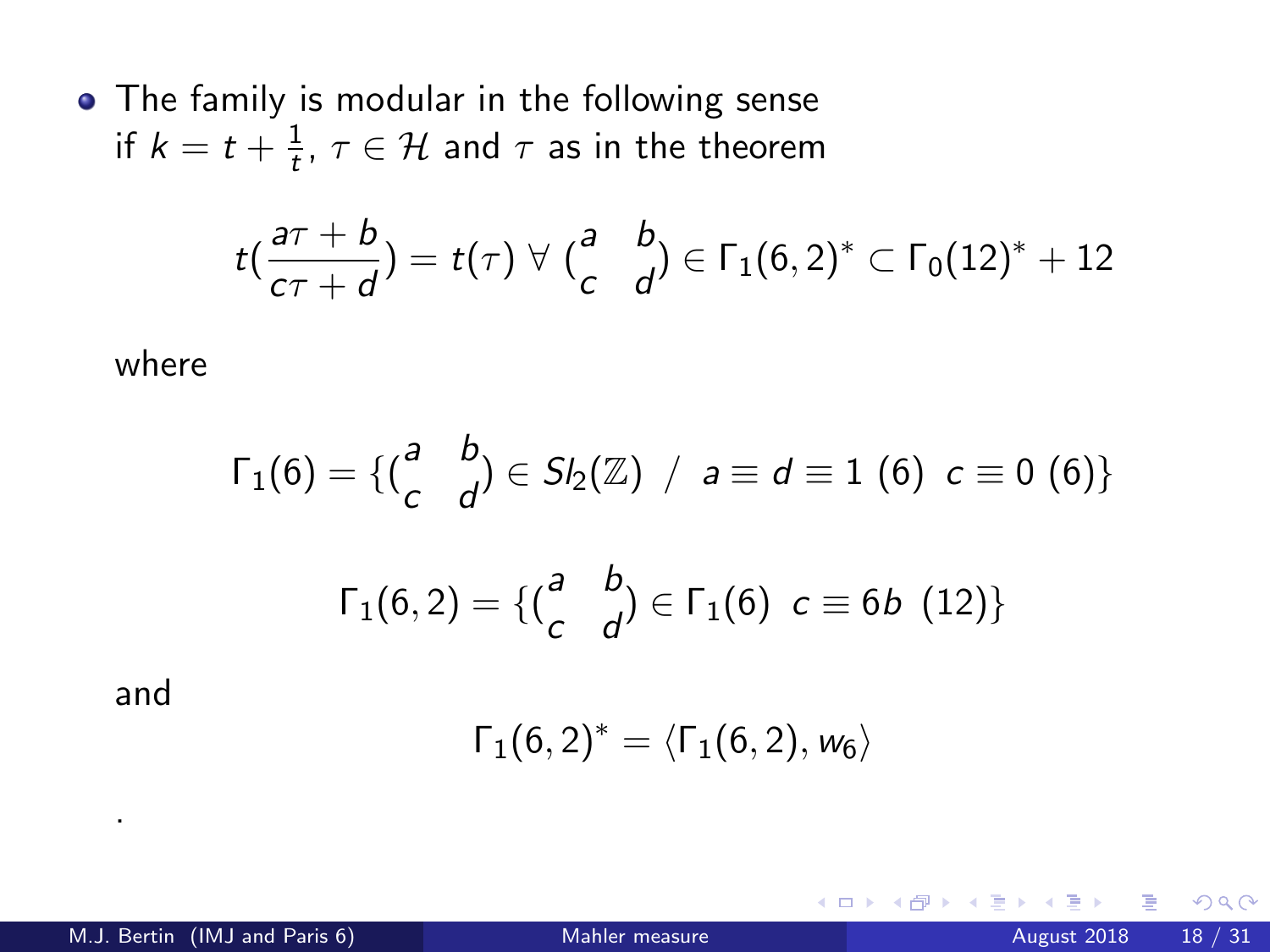• The family is modular in the following sense if  $k=t+\frac{1}{t}$  $\frac{1}{t}$ ,  $\tau \in \mathcal{H}$  and  $\tau$  as in the theorem

$$
t\left(\frac{a\tau+b}{c\tau+d}\right)=t(\tau)\,\,\forall\,\,\left(\frac{a}{c}\quad\frac{b}{d}\right)\in\Gamma_1(6,2)^*\subset\Gamma_0(12)^*+12
$$

where

$$
\Gamma_1(6) = \{ {a \atop c} b \atop 1(6,2) = \{ {a \atop c} b \atop 0 \end{bmatrix} \in S I_2(\mathbb{Z}) \ / \ a \equiv d \equiv 1 \ (6) \ c \equiv 0 \ (6) \}
$$

$$
\Gamma_1(6,2) = \{ {a \atop c} b \atop 0 \end{bmatrix} \in \Gamma_1(6) \ c \equiv 6b \ (12) \}
$$

and

.

$$
\Gamma_1(6,2)^*=\langle \Gamma_1(6,2),w_6\rangle
$$

4 D F

 $QQ$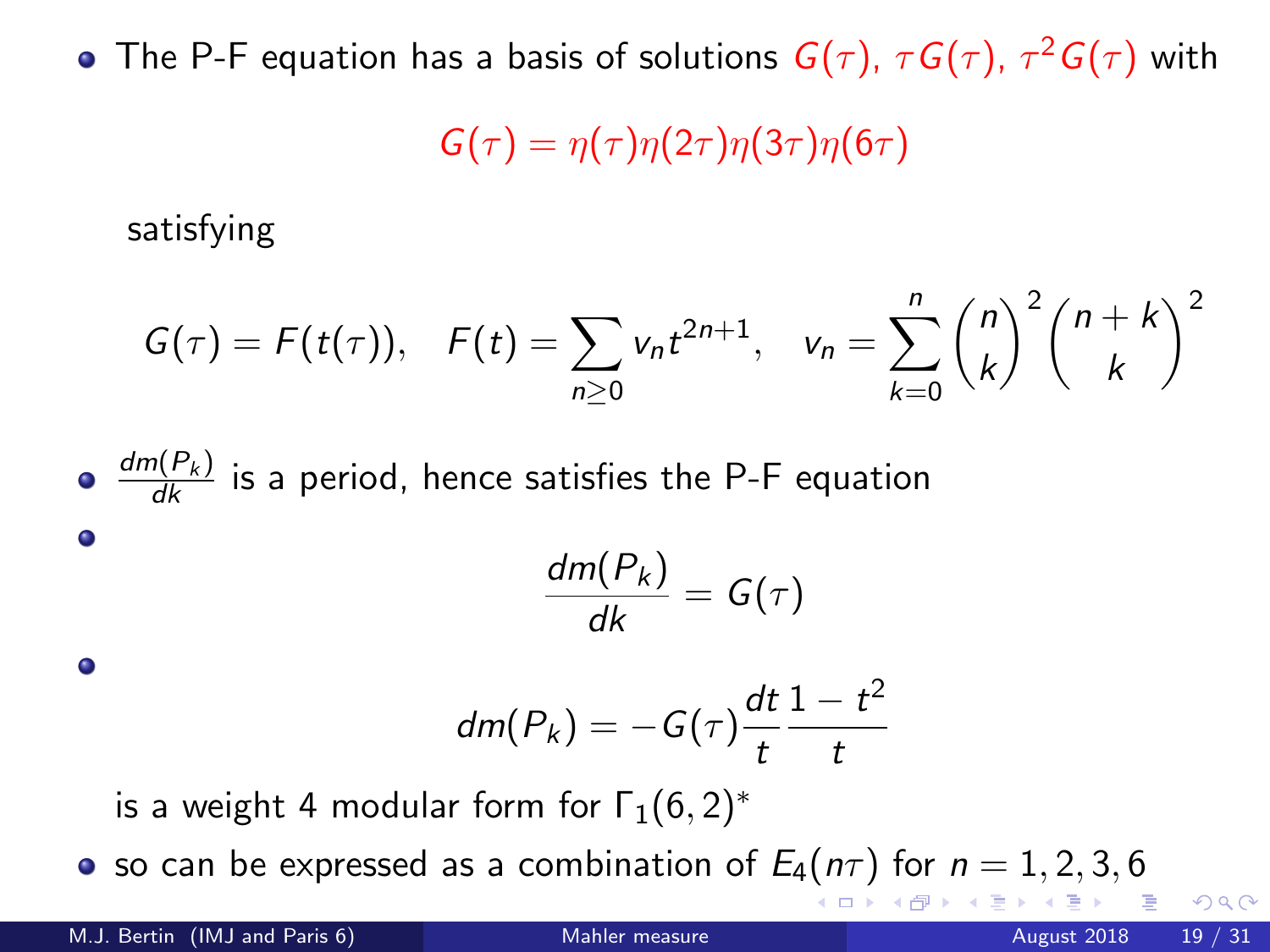The P-F equation has a basis of solutions  $G(\tau)$ ,  $\tau G(\tau)$ ,  $\tau^2 G(\tau)$  with

$$
G(\tau)=\eta(\tau)\eta(2\tau)\eta(3\tau)\eta(6\tau)
$$

satisfying

$$
G(\tau) = F(t(\tau)), \quad F(t) = \sum_{n\geq 0} v_n t^{2n+1}, \quad v_n = \sum_{k=0}^n {n \choose k}^2 {n+k \choose k}^2
$$

\n- $$
\frac{dm(P_k)}{dk}
$$
 is a period, hence satisfies the P-F equation
\n- $\frac{dm(P_k)}{dk} = G(\tau)$
\n- $dm(P_k) = -G(\tau)\frac{dt}{t}\frac{1-t^2}{t}$
\n- is a weight 4 modular form for  $\Gamma_1(6,2)^*$
\n

• so can be expressed as a combination of  $E_4(n\tau)$  for  $n = 1, 2, 3, 6$ 

∢ □ ▶ ⊣ *f*il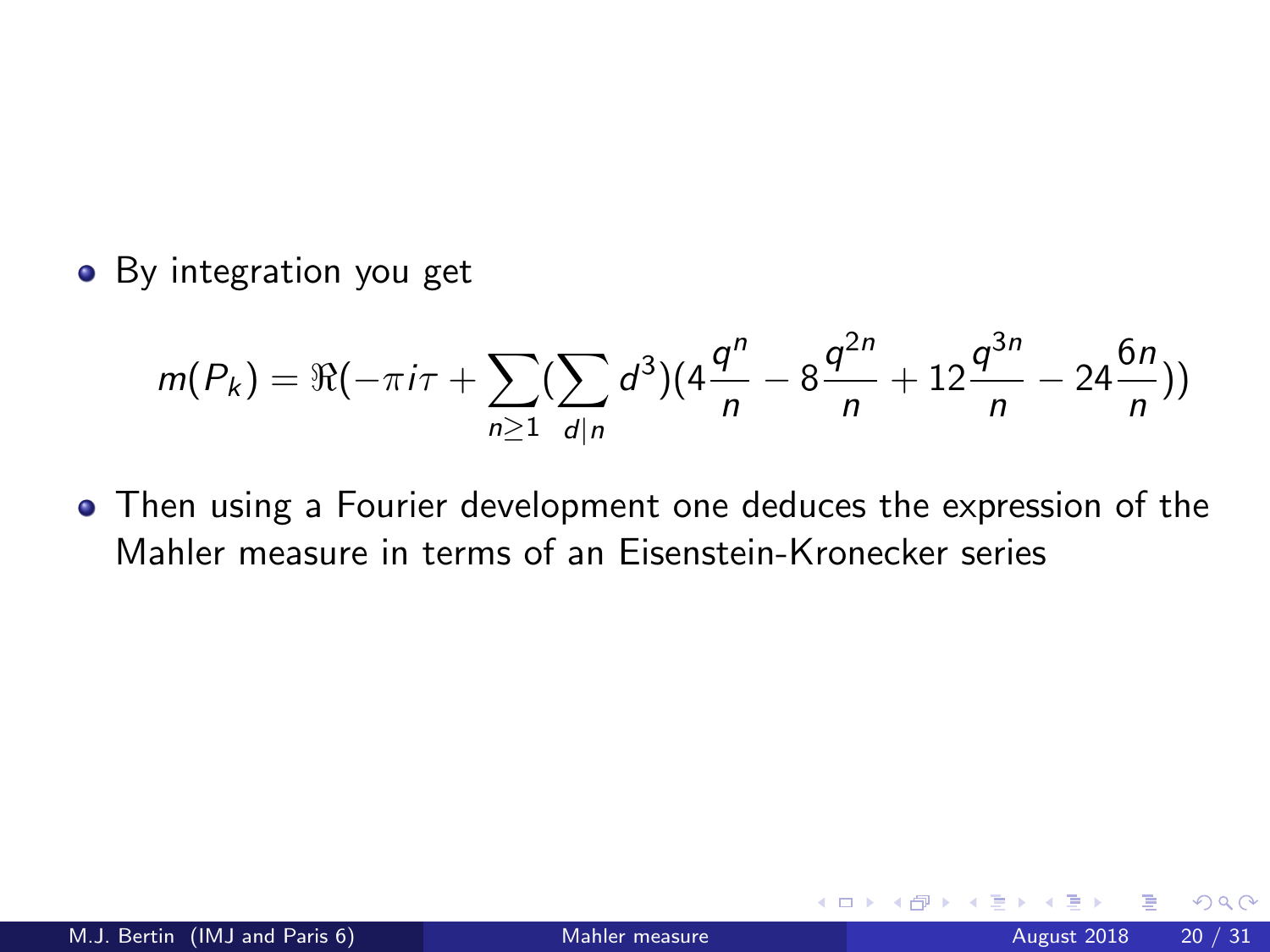• By integration you get

$$
m(P_k) = \Re(-\pi i \tau + \sum_{n\geq 1} (\sum_{d|n} d^3)(4\frac{q^n}{n} - 8\frac{q^{2n}}{n} + 12\frac{q^{3n}}{n} - 24\frac{6n}{n}))
$$

Then using a Fourier development one deduces the expression of the Mahler measure in terms of an Eisenstein-Kronecker series

 $\leftarrow$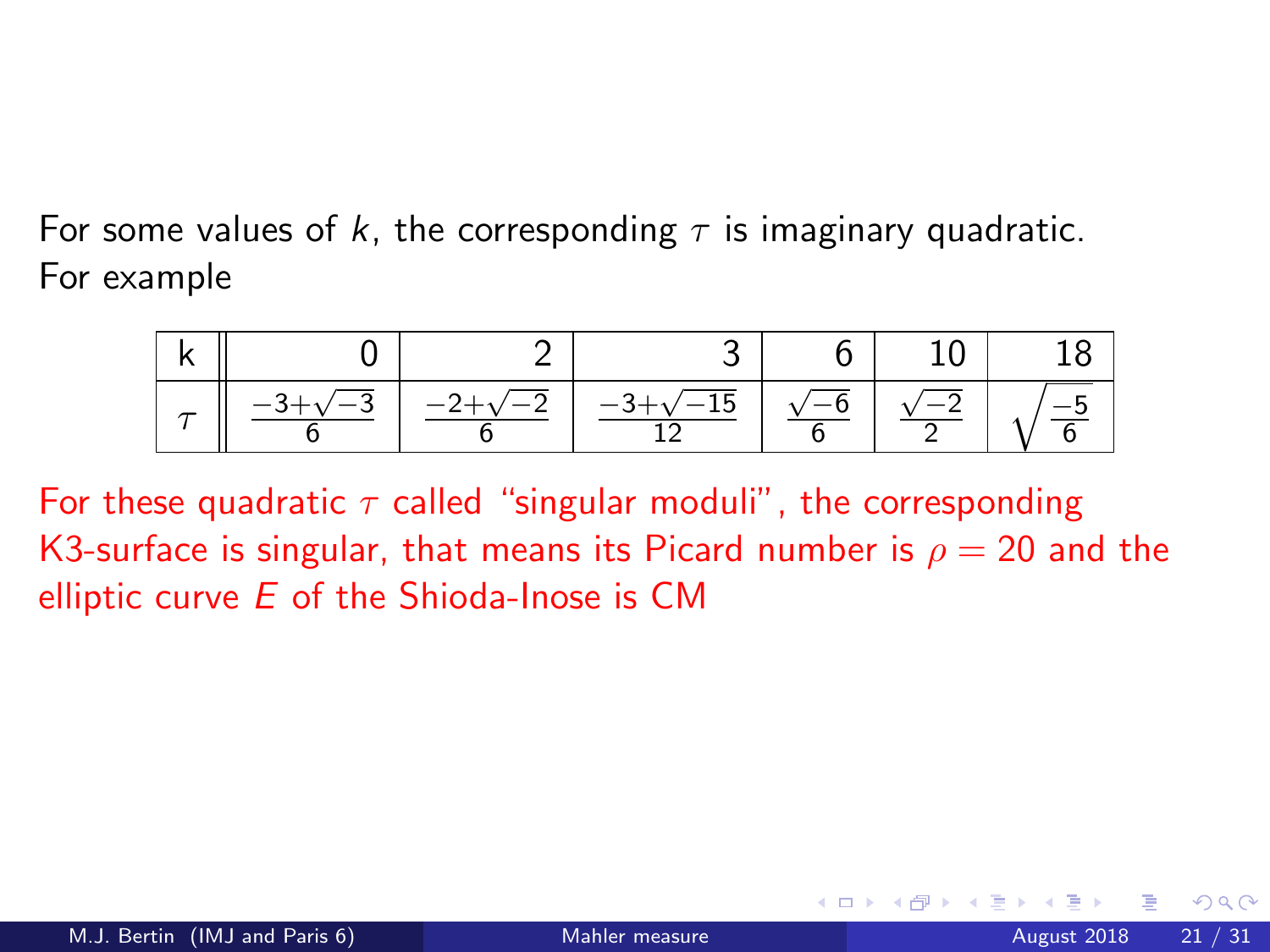For some values of k, the corresponding  $\tau$  is imaginary quadratic. For example

<span id="page-20-0"></span>

| $\sim$ $\sim$ | $-2+$ | $-3 + \sqrt{2}$<br>15. L |  |  |
|---------------|-------|--------------------------|--|--|

For these quadratic  $\tau$  called "singular moduli", the corresponding K3-surface is singular, that means its Picard number is  $\rho = 20$  and the elliptic curve  $E$  of the Shioda-Inose is CM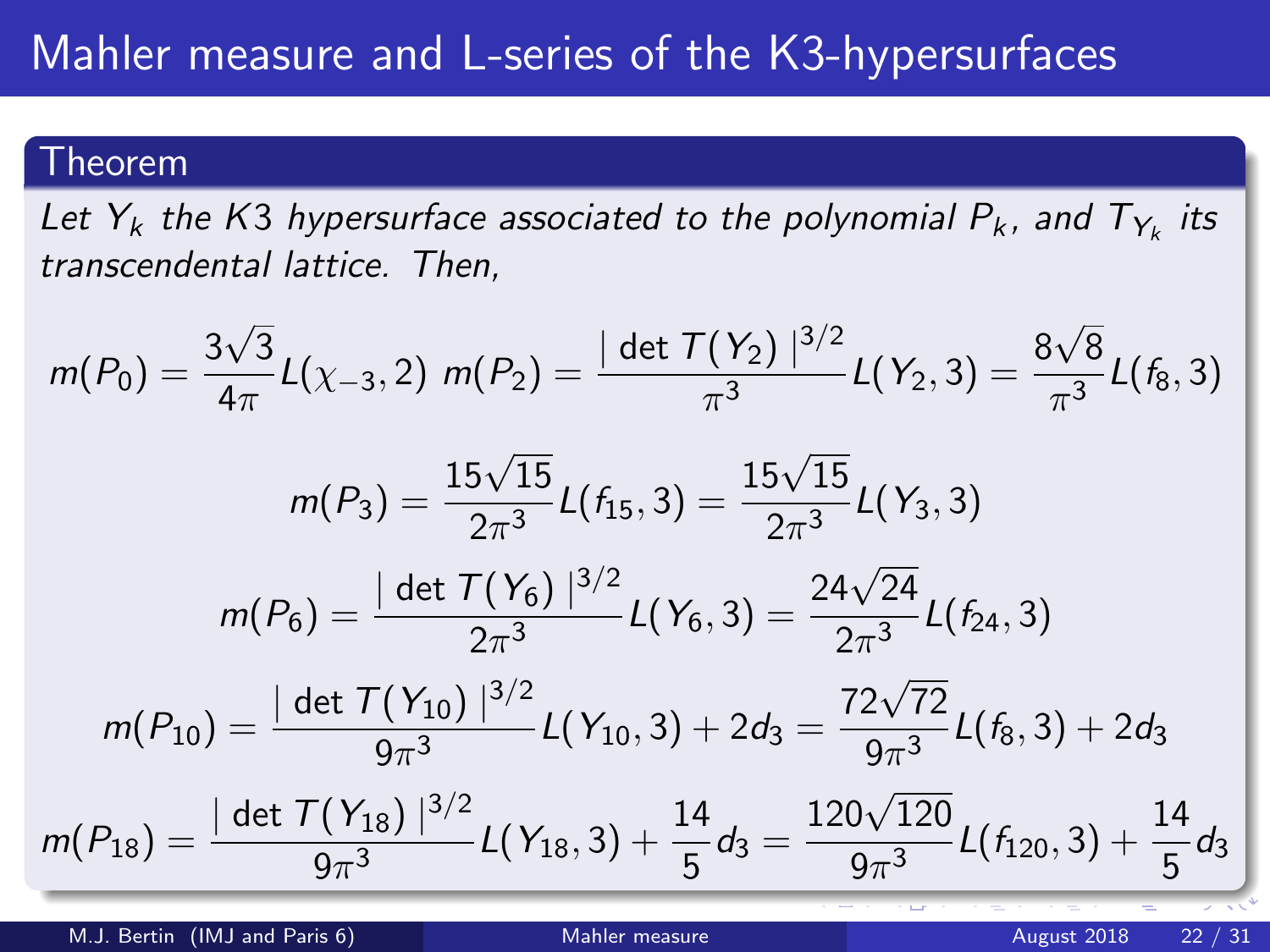#### Theorem

Let  $Y_k$  the K3 hypersurface associated to the polynomial  $P_k$ , and  $T_{Y_k}$  its transcendental lattice. Then,

$$
m(P_0) = \frac{3\sqrt{3}}{4\pi} L(\chi_{-3}, 2) \ m(P_2) = \frac{|\det T(Y_2)|^{3/2}}{\pi^3} L(Y_2, 3) = \frac{8\sqrt{8}}{\pi^3} L(f_8, 3)
$$

$$
m(P_3) = \frac{15\sqrt{15}}{2\pi^3} L(f_{15}, 3) = \frac{15\sqrt{15}}{2\pi^3} L(Y_3, 3)
$$

$$
m(P_6) = \frac{|\det T(Y_6)|^{3/2}}{2\pi^3} L(Y_6, 3) = \frac{24\sqrt{24}}{2\pi^3} L(f_{24}, 3)
$$

$$
m(P_{10}) = \frac{|\det T(Y_{10})|^{3/2}}{9\pi^3} L(Y_{10}, 3) + 2d_3 = \frac{72\sqrt{72}}{9\pi^3} L(f_8, 3) + 2d_3
$$

$$
m(P_{18}) = \frac{|\det T(Y_{18})|^{3/2}}{9\pi^3} L(Y_{18}, 3) + \frac{14}{5}d_3 = \frac{120\sqrt{120}}{9\pi^3} L(f_{120}, 3) + \frac{14}{5}d_3
$$

M.J. Bertin (IMJ and Paris 6) [Mahler measure](#page-0-0) August 2018 22 / 31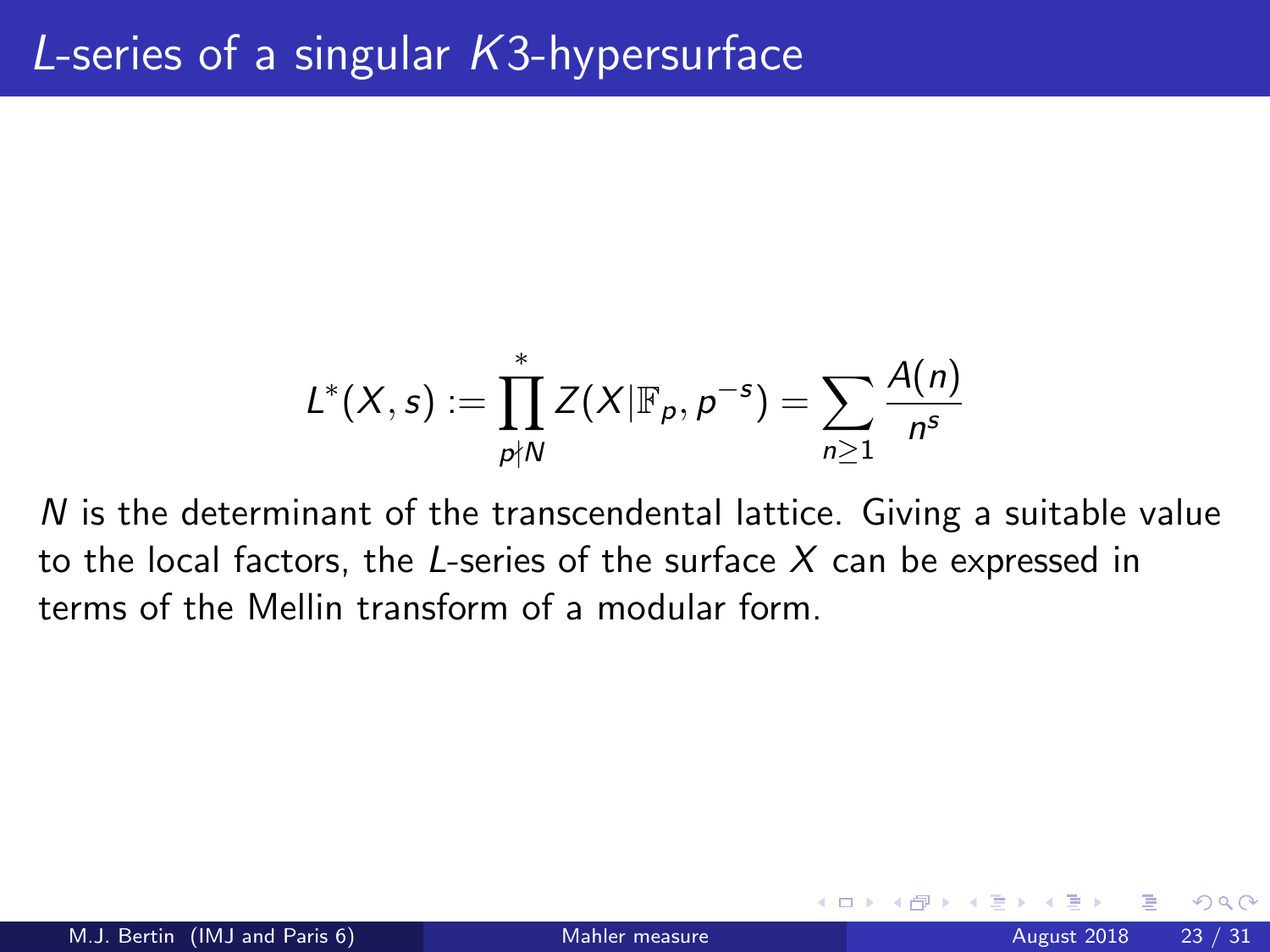<span id="page-22-0"></span>
$$
L^*(X,s):=\prod_{p\nmid N}^*Z(X|\mathbb{F}_p,p^{-s})=\sum_{n\geq 1}\frac{A(n)}{n^s}
$$

 $N$  is the determinant of the transcendental lattice. Giving a suitable value to the local factors, the L-series of the surface  $X$  can be expressed in terms of the Mellin transform of a modular form.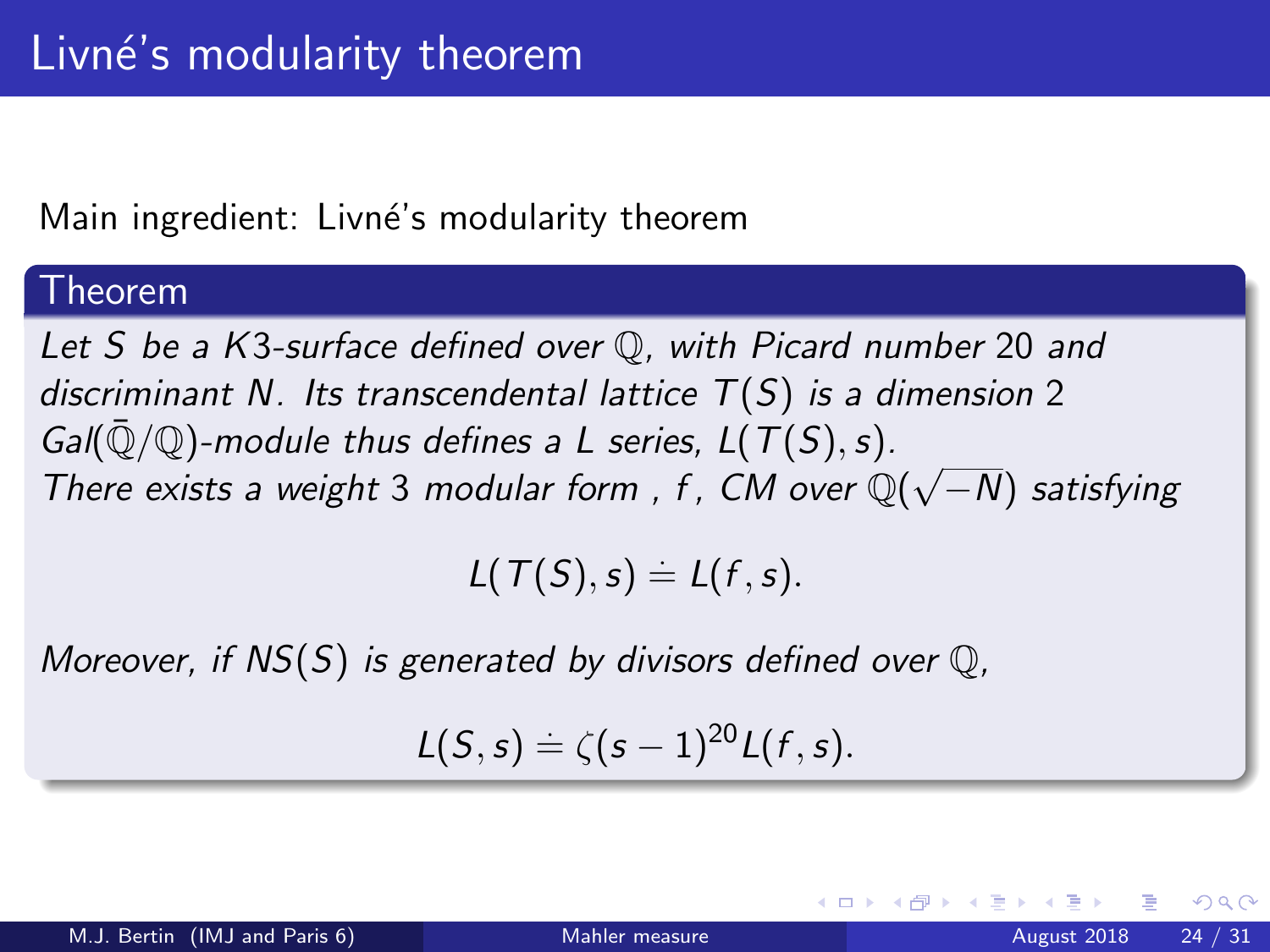### Main ingredient: Livné's modularity theorem

#### Theorem

Let S be a K3-surface defined over Q, with Picard number 20 and discriminant N. Its transcendental lattice  $T(S)$  is a dimension 2 Gal( $\overline{Q}/\mathbb{Q}$ )-module thus defines a L series,  $L(T(S), s)$ . Gan( $\psi/\psi$ )-module thus defines a L series, L(1(3), s).<br>There exists a weight 3 modular form, f, CM over  $\mathbb{Q}(\sqrt{2})$ −N) satisfying

$$
L(T(S), s) \doteq L(f, s).
$$

Moreover, if  $NS(S)$  is generated by divisors defined over  $\mathbb{O}$ .

$$
L(S,s)=\zeta(s-1)^{20}L(f,s).
$$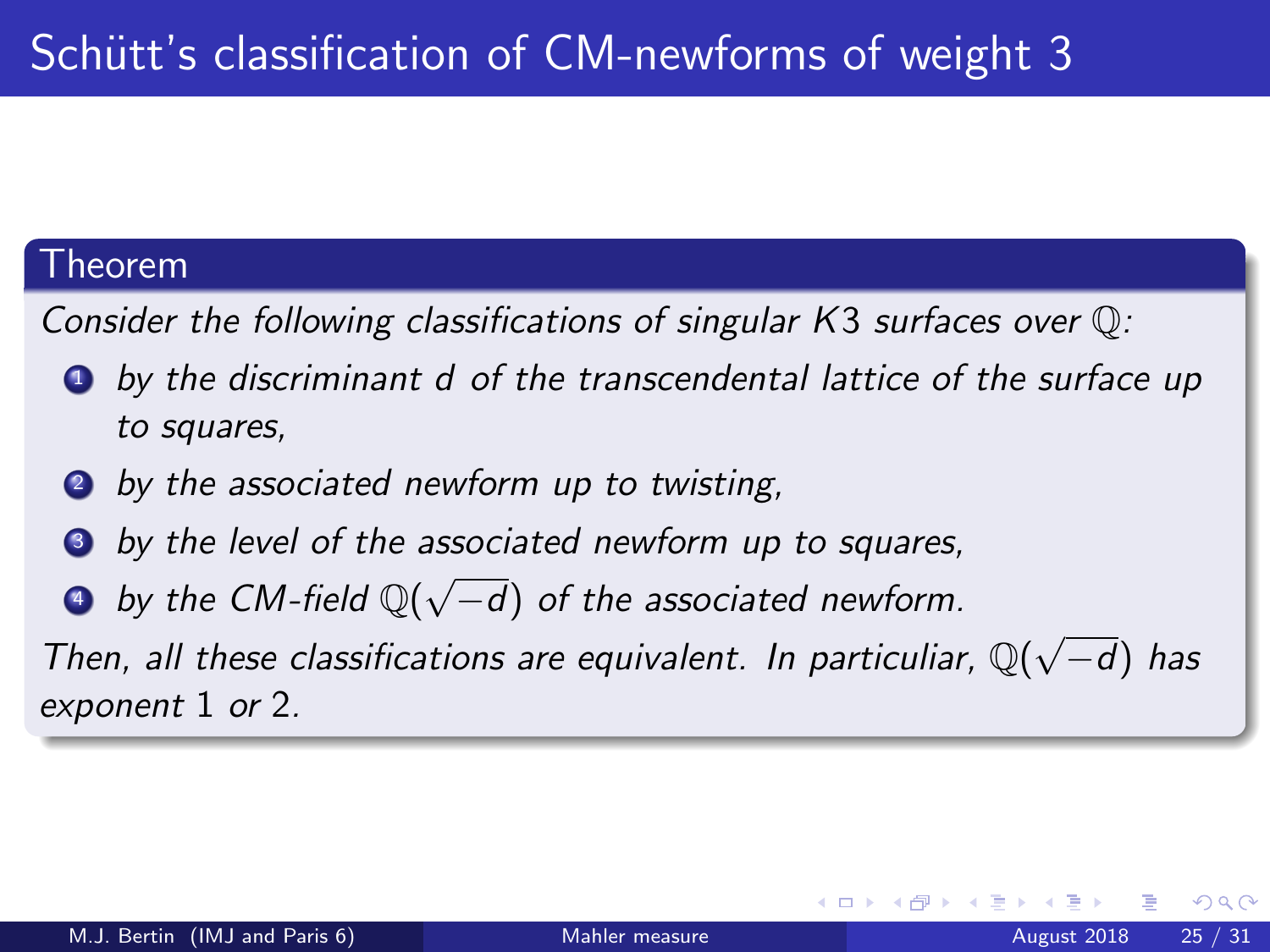#### Theorem

Consider the following classifications of singular K3 surfaces over Q:

- **4** by the discriminant d of the transcendental lattice of the surface up to squares,
- **2** by the associated newform up to twisting,
- by the level of the associated newform up to squares,
- **a** by the CM-field  $\mathbb{Q}(\sqrt{2})$ −d) of the associated newform.

Then, all these classifications are equivalent. In particuliar,  $\mathbb{Q}(\sqrt{n})$ −d) has exponent 1 or 2.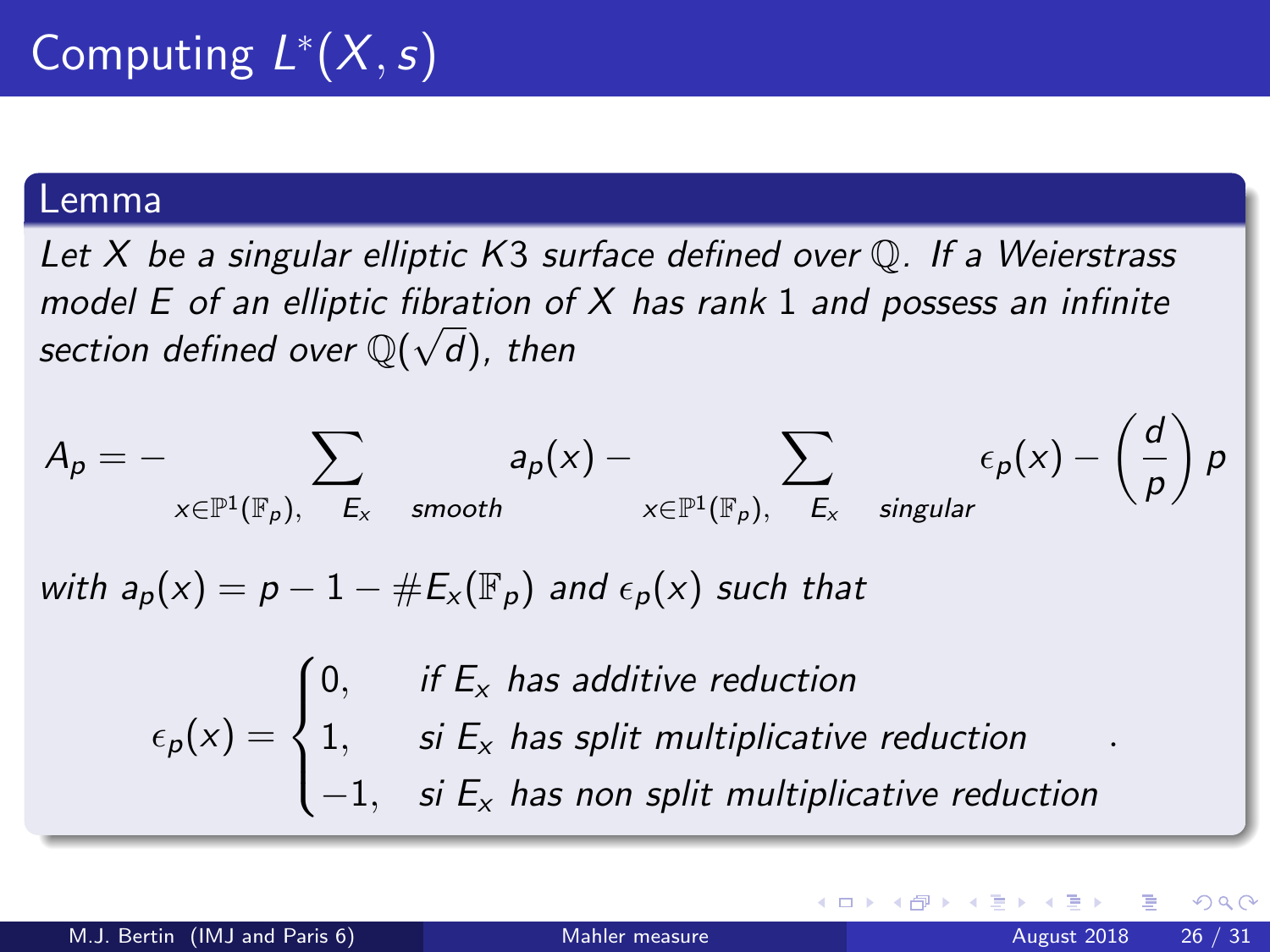#### Lemma

Let  $X$  be a singular elliptic  $K3$  surface defined over  $\mathbb Q$ . If a Weierstrass model E of an elliptic fibration of X has rank 1 and possess an infinite section defined over  $\mathbb{Q}(\sqrt{d})$ , then

$$
A_p = - \sum_{x \in \mathbb{P}^1(\mathbb{F}_p), \ E_x \text{ smooth}} a_p(x) - \sum_{x \in \mathbb{P}^1(\mathbb{F}_p), \ E_x \text{ singular}} \epsilon_p(x) - \left(\frac{d}{p}\right)p
$$
  
with  $a_p(x) = p - 1 - \#E_x(\mathbb{F}_p)$  and  $\epsilon_p(x)$  such that  

$$
\epsilon_p(x) = \begin{cases} 0, & \text{if } E_x \text{ has additive reduction} \\ 1, & \text{si } E_x \text{ has split multiplicative reduction} \\ -1, & \text{si } E_x \text{ has non split multiplicative reduction} \end{cases}
$$

4 0 8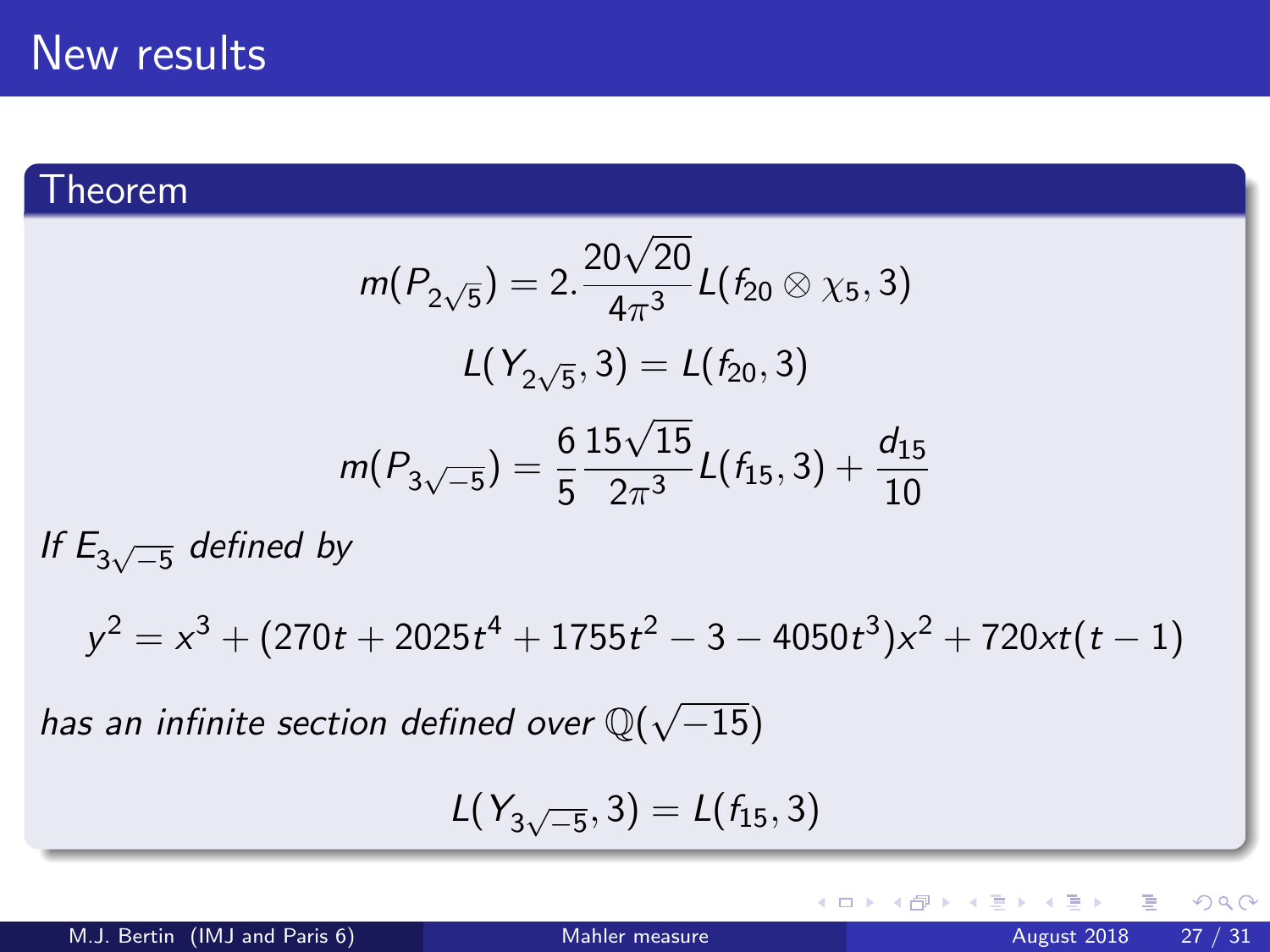#### Theorem

$$
m(P_{2\sqrt{5}}) = 2.\frac{20\sqrt{20}}{4\pi^3}L(f_{20} \otimes \chi_5, 3)
$$

$$
L(Y_{2\sqrt{5}}, 3) = L(f_{20}, 3)
$$

$$
m(P_{3\sqrt{-5}}) = \frac{6}{5}\frac{15\sqrt{15}}{2\pi^3}L(f_{15}, 3) + \frac{d_{15}}{10}
$$

If  $E_{3\sqrt{-5}}$  defined by

 $y^2 = x^3 + (270t + 2025t^4 + 1755t^2 - 3 - 4050t^3)x^2 + 720xt(t - 1)$ 

has an infinite section defined over  $\mathbb{Q}(\sqrt{2})$  $^{-15)}$ 

$$
L(Y_{3\sqrt{-5}},3)=L(f_{15},3)
$$

<span id="page-26-0"></span>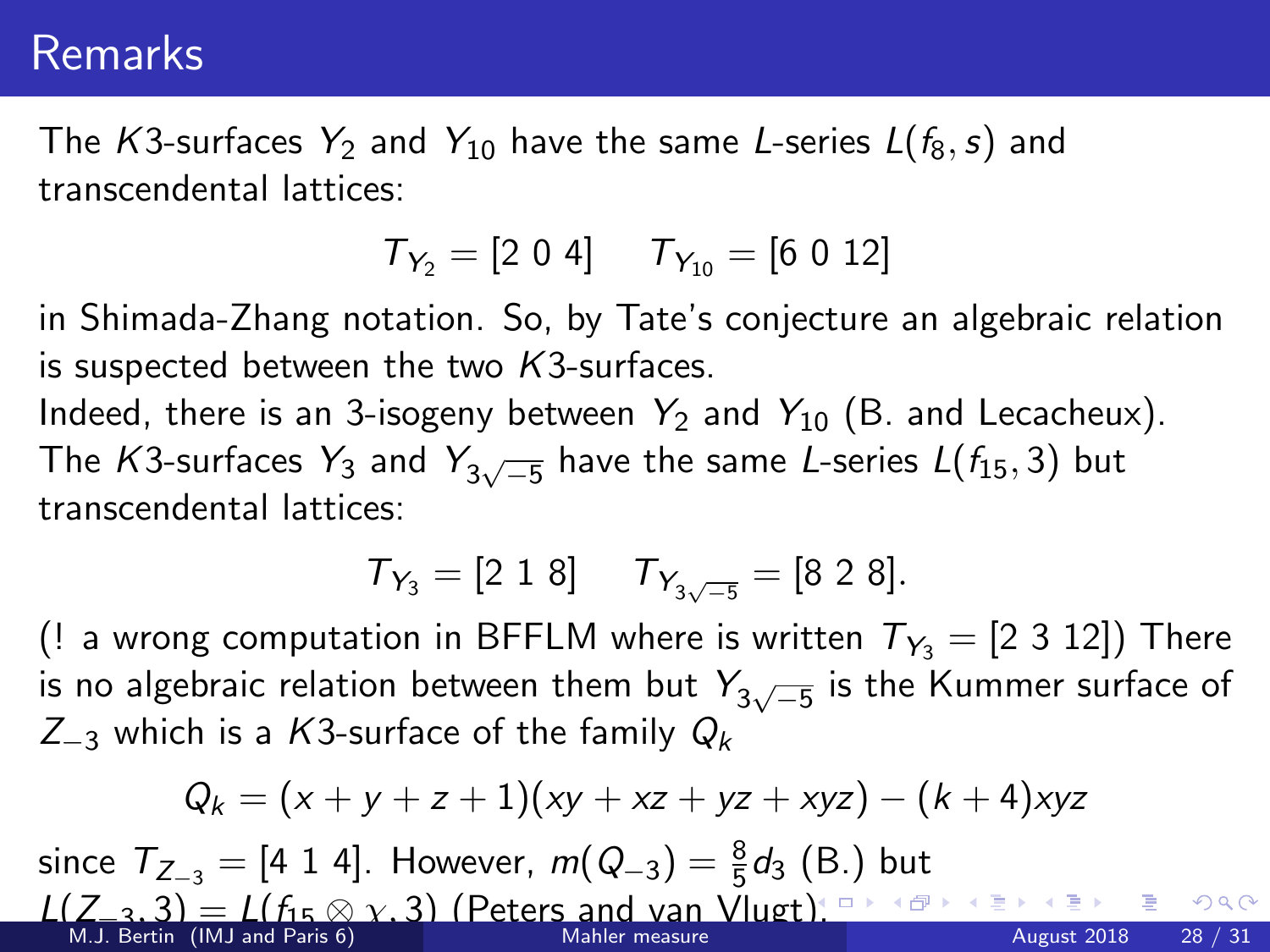## Remarks

The K3-surfaces  $Y_2$  and  $Y_{10}$  have the same L-series  $L(f_8, s)$  and transcendental lattices:

$$
\mathcal{T}_{Y_2}=[2\;0\;4]\quad \ \mathcal{T}_{Y_{10}}=[6\;0\;12]
$$

in Shimada-Zhang notation. So, by Tate's conjecture an algebraic relation is suspected between the two  $K3$ -surfaces.

Indeed, there is an 3-isogeny between  $Y_2$  and  $Y_{10}$  (B. and Lecacheux). The  $\mathcal{K}$ 3-surfaces  $\mathcal{Y}_3$  and  $\mathcal{Y}_{3\sqrt{-5}}$  have the same L-series  $\mathcal{L}(f_{15},3)$  but transcendental lattices:

$$
T_{Y_3} = [2 \ 1 \ 8] \qquad T_{Y_{3\sqrt{-5}}} = [8 \ 2 \ 8].
$$

(! a wrong computation in BFFLM where is written  $T_{Y_3} = [2 \ 3 \ 12]$ ) There is no algebraic relation between them but  $Y_{3\sqrt{-5}}$  is the Kummer surface of  $Z_{-3}$  which is a K3-surface of the family  $Q_k$ 

$$
Q_k = (x + y + z + 1)(xy + xz + yz + xyz) - (k + 4)xyz
$$

since  $T_{Z_{-3}} = [4 \; 1 \; 4]$ . However,  $m(Q_{-3}) = \frac{8}{5}d_3$  (B.) but  $L(Z_3, 3) = L(f_15 \otimes \gamma, 3)$  (Peters and van Vlugt[\).](#page-26-0) Production and van Vlugting and van Vlugting the service  $\frac{1}{2}$  and  $\frac{1}{2}$  and  $\frac{1}{2}$  and  $\frac{1}{2}$  and Paris 6) M.J. Bertin (IMJ and Paris 6) [Mahler measure](#page-0-0) August 2018 28 / 31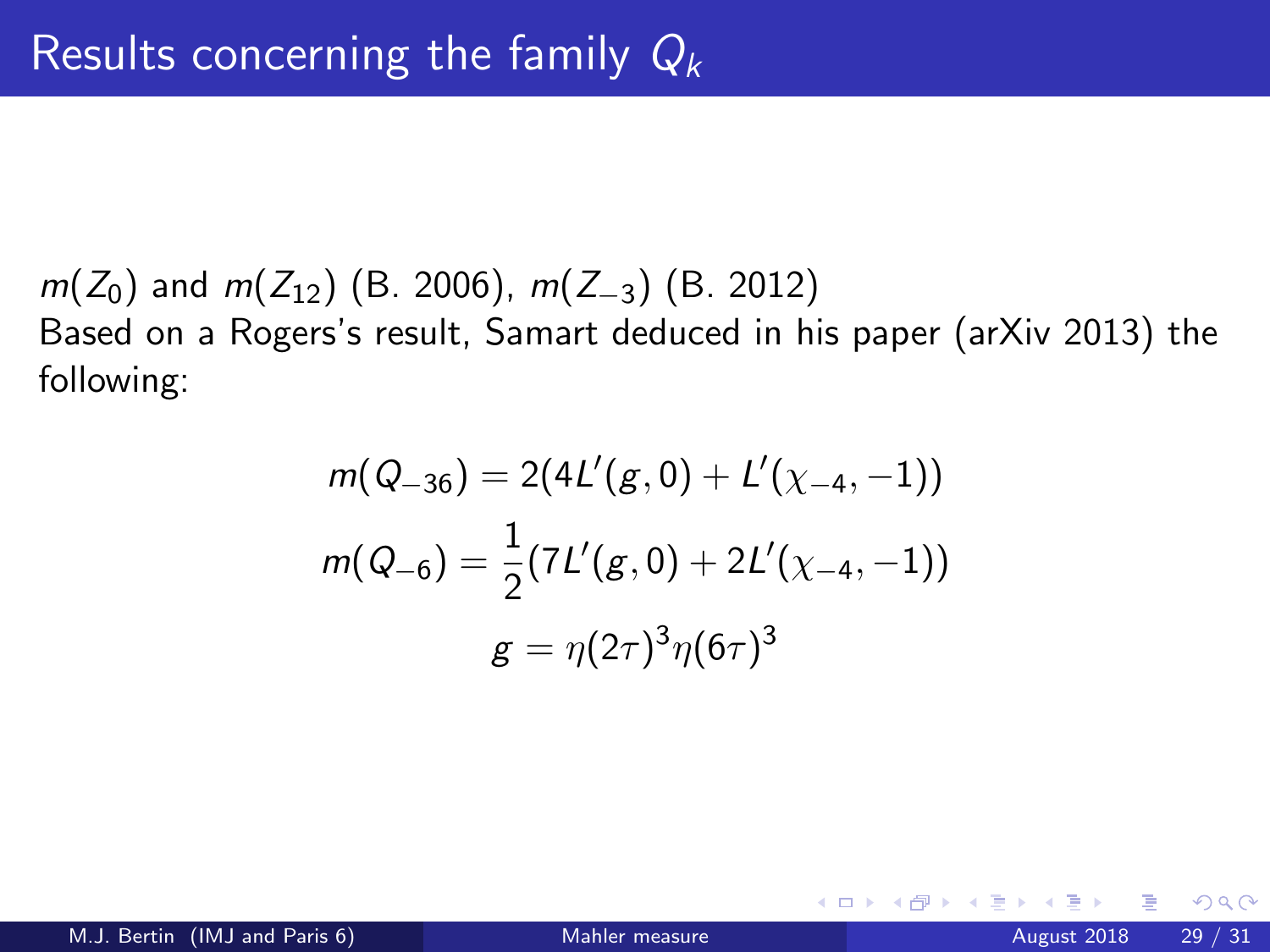$m(Z_0)$  and  $m(Z_{12})$  (B. 2006),  $m(Z_{-3})$  (B. 2012) Based on a Rogers's result, Samart deduced in his paper (arXiv 2013) the following:

$$
m(Q_{-36}) = 2(4L'(g, 0) + L'(\chi_{-4}, -1))
$$

$$
m(Q_{-6}) = \frac{1}{2}(7L'(g, 0) + 2L'(\chi_{-4}, -1))
$$

$$
g = \eta(2\tau)^3 \eta(6\tau)^3
$$

4 0 8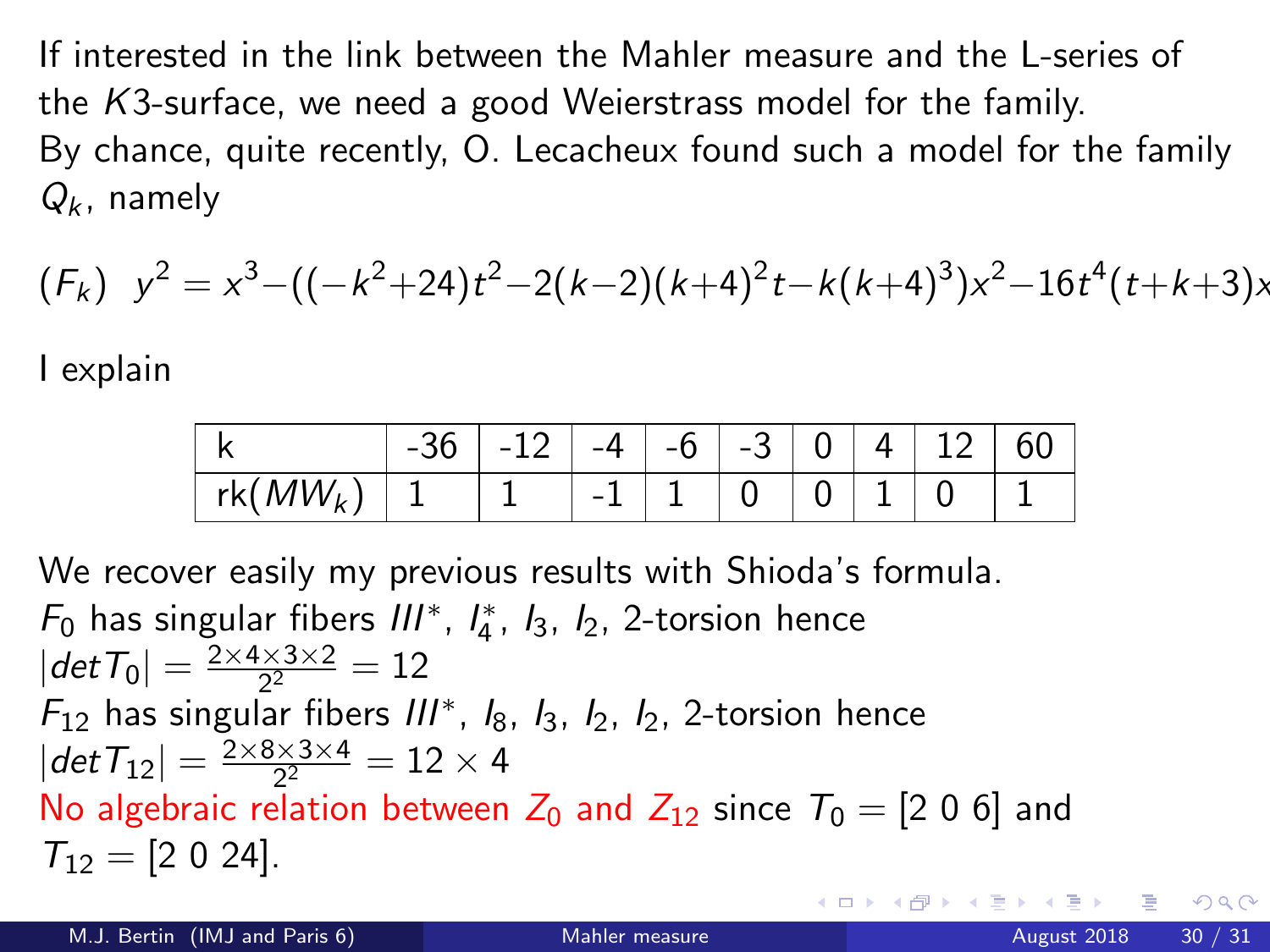If interested in the link between the Mahler measure and the L-series of the K3-surface, we need a good Weierstrass model for the family. By chance, quite recently, O. Lecacheux found such a model for the family  $Q_k$ , namely

$$
(F_k) y^2 = x^3 - ((-k^2 + 24)t^2 - 2(k-2)(k+4)^2t - k(k+4)^3)x^2 - 16t^4(t+k+3)x
$$

I explain

|                                                                                                     | $-36$   $-12$   $-4$   $-6$   $-3$   0   4   12   60 |  |  |  |  |
|-----------------------------------------------------------------------------------------------------|------------------------------------------------------|--|--|--|--|
| $\lceil rk(MW_k) \rceil 1 \rceil 1 \rceil -1 \rceil 1 \rceil 0 \rceil 0 \rceil 1 \rceil 0 \rceil 1$ |                                                      |  |  |  |  |

We recover easily my previous results with Shioda's formula.  $F_0$  has singular fibers  $III^*$ ,  $I_4^*$ ,  $I_3$ ,  $I_2$ , 2-torsion hence  $|det T_0|=\frac{2\times4\times3\times2}{2^2}$  $\frac{2 \times 3 \times 2}{2^2} = 12$  $F_{12}$  has singular fibers  $III^*$ ,  $I_8$ ,  $I_3$ ,  $I_2$ ,  $I_2$ , 2-torsion hence  $|det T_{12}| = \frac{2 \times 8 \times 3 \times 4}{2^2}$  $\frac{3 \times 3 \times 4}{2^2} = 12 \times 4$ No algebraic relation between  $Z_0$  and  $Z_{12}$  since  $T_0 = [2 \ 0 \ 6]$  and  $T_{12} = [2 \ 0 \ 24]$ .